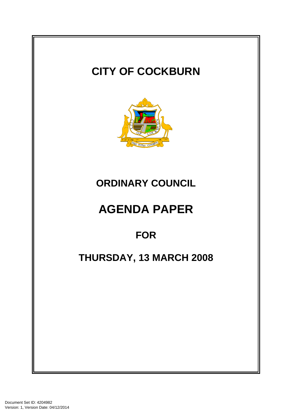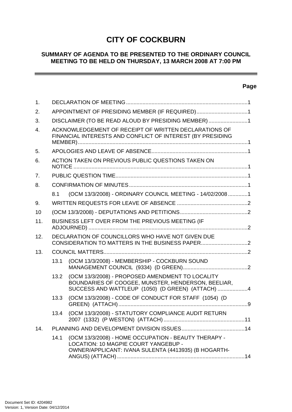# **CITY OF COCKBURN**

# **SUMMARY OF AGENDA TO BE PRESENTED TO THE ORDINARY COUNCIL MEETING TO BE HELD ON THURSDAY, 13 MARCH 2008 AT 7:00 PM**

# **Page**

\_\_\_\_\_

| 1.               |                                                                                                                     |                                                                                                                                                            |  |  |  |  |  |
|------------------|---------------------------------------------------------------------------------------------------------------------|------------------------------------------------------------------------------------------------------------------------------------------------------------|--|--|--|--|--|
| 2.               | APPOINTMENT OF PRESIDING MEMBER (IF REQUIRED)1                                                                      |                                                                                                                                                            |  |  |  |  |  |
| 3.               | DISCLAIMER (TO BE READ ALOUD BY PRESIDING MEMBER) 1                                                                 |                                                                                                                                                            |  |  |  |  |  |
| $\overline{4}$ . | ACKNOWLEDGEMENT OF RECEIPT OF WRITTEN DECLARATIONS OF<br>FINANCIAL INTERESTS AND CONFLICT OF INTEREST (BY PRESIDING |                                                                                                                                                            |  |  |  |  |  |
| 5.               |                                                                                                                     |                                                                                                                                                            |  |  |  |  |  |
| 6.               |                                                                                                                     | ACTION TAKEN ON PREVIOUS PUBLIC QUESTIONS TAKEN ON                                                                                                         |  |  |  |  |  |
| 7 <sub>1</sub>   |                                                                                                                     |                                                                                                                                                            |  |  |  |  |  |
| 8.               |                                                                                                                     |                                                                                                                                                            |  |  |  |  |  |
|                  | 8.1                                                                                                                 | (OCM 13/3/2008) - ORDINARY COUNCIL MEETING - 14/02/20081                                                                                                   |  |  |  |  |  |
| 9.               |                                                                                                                     |                                                                                                                                                            |  |  |  |  |  |
| 10               |                                                                                                                     |                                                                                                                                                            |  |  |  |  |  |
| 11.              | BUSINESS LEFT OVER FROM THE PREVIOUS MEETING (IF                                                                    |                                                                                                                                                            |  |  |  |  |  |
| 12.              |                                                                                                                     | DECLARATION OF COUNCILLORS WHO HAVE NOT GIVEN DUE                                                                                                          |  |  |  |  |  |
| 13.              |                                                                                                                     |                                                                                                                                                            |  |  |  |  |  |
|                  | 13.1                                                                                                                | (OCM 13/3/2008) - MEMBERSHIP - COCKBURN SOUND                                                                                                              |  |  |  |  |  |
|                  | 13.2                                                                                                                | (OCM 13/3/2008) - PROPOSED AMENDMENT TO LOCALITY<br>BOUNDARIES OF COOGEE, MUNSTER, HENDERSON, BEELIAR,<br>SUCCESS AND WATTLEUP (1050) (D GREEN) (ATTACH) 4 |  |  |  |  |  |
|                  | 13.3                                                                                                                | (OCM 13/3/2008) - CODE OF CONDUCT FOR STAFF (1054) (D                                                                                                      |  |  |  |  |  |
|                  | 13.4                                                                                                                | (OCM 13/3/2008) - STATUTORY COMPLIANCE AUDIT RETURN                                                                                                        |  |  |  |  |  |
| 14.              |                                                                                                                     |                                                                                                                                                            |  |  |  |  |  |
|                  | 14.1                                                                                                                | (OCM 13/3/2008) - HOME OCCUPATION - BEAUTY THERAPY -<br>LOCATION: 10 MAGPIE COURT YANGEBUP -<br>OWNER/APPLICANT: IVANA SULENTA (4413935) (B HOGARTH-       |  |  |  |  |  |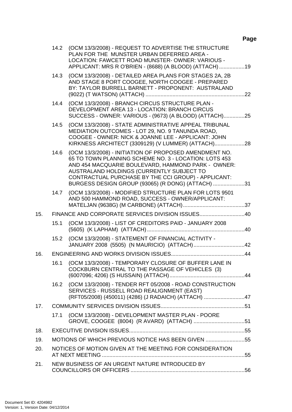# **Page**

|     |                                                    | 14.2 (OCM 13/3/2008) - REQUEST TO ADVERTISE THE STRUCTURE<br>PLAN FOR THE MUNSTER URBAN DEFERRED AREA -<br>LOCATION: FAWCETT ROAD MUNSTER-OWNER: VARIOUS -<br>APPLICANT: MRS R O'BRIEN - (8688) (A BLOOD) (ATTACH) 19                                                                                                          |  |  |  |
|-----|----------------------------------------------------|--------------------------------------------------------------------------------------------------------------------------------------------------------------------------------------------------------------------------------------------------------------------------------------------------------------------------------|--|--|--|
|     | 14.3                                               | (OCM 13/3/2008) - DETAILED AREA PLANS FOR STAGES 2A, 2B<br>AND STAGE 8 PORT COOGEE, NORTH COOGEE - PREPARED<br>BY: TAYLOR BURRELL BARNETT - PROPONENT: AUSTRALAND                                                                                                                                                              |  |  |  |
|     | 14.4                                               | (OCM 13/3/2008) - BRANCH CIRCUS STRUCTURE PLAN -<br>DEVELOPMENT AREA 13 - LOCATION: BRANCH CIRCUS<br>SUCCESS - OWNER: VARIOUS - (9673) (A BLOOD) (ATTACH)25                                                                                                                                                                    |  |  |  |
|     | 14.5                                               | (OCM 13/3/2008) - STATE ADMINISTRATIVE APPEAL TRIBUNAL<br>MEDIATION OUTCOMES - LOT 29, NO. 9 TANUNDA ROAD,<br>COOGEE - OWNER: NICK & JOANNE LEE - APPLICANT: JOHN<br>KIRKNESS ARCHITECT (3309129) (V LUMMER) (ATTACH)                                                                                                          |  |  |  |
|     | 14.6                                               | (OCM 13/3/2008) - INITIATION OF PROPOSED AMENDMENT NO.<br>65 TO TOWN PLANNING SCHEME NO. 3 - LOCATION: LOTS 453<br>AND 454 MACQUARIE BOULEVARD, HAMMOND PARK - OWNER:<br>AUSTRALAND HOLDINGS (CURRENTLY SUBJECT TO<br>CONTRACTUAL PURCHASE BY THE CCI GROUP) - APPLICANT:<br>BURGESS DESIGN GROUP (93065) (R DONG) (ATTACH) 31 |  |  |  |
|     | 14.7                                               | (OCM 13/3/2008) - MODIFIED STRUCTURE PLAN FOR LOTS 9501<br>AND 500 HAMMOND ROAD, SUCCESS - OWNER/APPLICANT:                                                                                                                                                                                                                    |  |  |  |
| 15. |                                                    | FINANCE AND CORPORATE SERVICES DIVISION ISSUES40                                                                                                                                                                                                                                                                               |  |  |  |
|     | 15.1                                               | (OCM 13/3/2008) - LIST OF CREDITORS PAID - JANUARY 2008                                                                                                                                                                                                                                                                        |  |  |  |
|     | 15.2                                               | (OCM 13/3/2008) - STATEMENT OF FINANCIAL ACTIVITY -                                                                                                                                                                                                                                                                            |  |  |  |
| 16. |                                                    |                                                                                                                                                                                                                                                                                                                                |  |  |  |
|     | 16.1                                               | (OCM 13/3/2008) - TEMPORARY CLOSURE OF BUFFER LANE IN<br>COCKBURN CENTRAL TO THE PASSAGE OF VEHICLES (3)                                                                                                                                                                                                                       |  |  |  |
|     | 16.2                                               | (OCM 13/3/2008) - TENDER RFT 05/2008 - ROAD CONSTRUCTION<br>SERVICES - RUSSELL ROAD REALIGNMENT (EAST)<br>(RFT05/2008) (450011) (4286) (J RADAICH) (ATTACH) 47                                                                                                                                                                 |  |  |  |
| 17. |                                                    |                                                                                                                                                                                                                                                                                                                                |  |  |  |
|     | 17.1                                               | (OCM 13/3/2008) - DEVELOPMENT MASTER PLAN - POORE                                                                                                                                                                                                                                                                              |  |  |  |
| 18. |                                                    |                                                                                                                                                                                                                                                                                                                                |  |  |  |
| 19. | MOTIONS OF WHICH PREVIOUS NOTICE HAS BEEN GIVEN 55 |                                                                                                                                                                                                                                                                                                                                |  |  |  |
| 20. |                                                    | NOTICES OF MOTION GIVEN AT THE MEETING FOR CONSIDERATION                                                                                                                                                                                                                                                                       |  |  |  |
| 21. |                                                    | NEW BUSINESS OF AN URGENT NATURE INTRODUCED BY                                                                                                                                                                                                                                                                                 |  |  |  |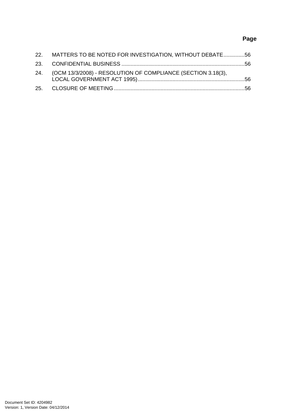# **Page**

| 22. MATTERS TO BE NOTED FOR INVESTIGATION, WITHOUT DEBATE 56     |  |
|------------------------------------------------------------------|--|
|                                                                  |  |
| 24. (OCM 13/3/2008) - RESOLUTION OF COMPLIANCE (SECTION 3.18(3), |  |
|                                                                  |  |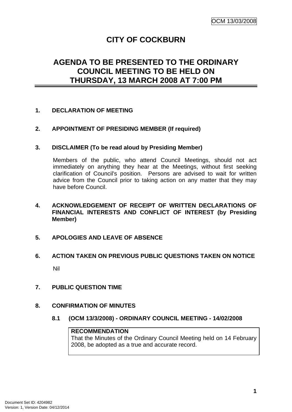# **CITY OF COCKBURN**

# <span id="page-4-0"></span>**AGENDA TO BE PRESENTED TO THE ORDINARY COUNCIL MEETING TO BE HELD ON THURSDAY, 13 MARCH 2008 AT 7:00 PM**

# **1. DECLARATION OF MEETING**

# **2. APPOINTMENT OF PRESIDING MEMBER (If required)**

# **3. DISCLAIMER (To be read aloud by Presiding Member)**

Members of the public, who attend Council Meetings, should not act immediately on anything they hear at the Meetings, without first seeking clarification of Council's position. Persons are advised to wait for written advice from the Council prior to taking action on any matter that they may have before Council.

# **4. ACKNOWLEDGEMENT OF RECEIPT OF WRITTEN DECLARATIONS OF FINANCIAL INTERESTS AND CONFLICT OF INTEREST (by Presiding Member)**

# **5. APOLOGIES AND LEAVE OF ABSENCE**

# **6. ACTION TAKEN ON PREVIOUS PUBLIC QUESTIONS TAKEN ON NOTICE**  Nil

# **7. PUBLIC QUESTION TIME**

# **8. CONFIRMATION OF MINUTES**

**8.1 (OCM 13/3/2008) - ORDINARY COUNCIL MEETING - 14/02/2008** 

### **RECOMMENDATION**

That the Minutes of the Ordinary Council Meeting held on 14 February 2008, be adopted as a true and accurate record.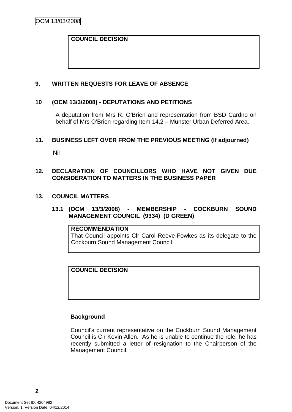# <span id="page-5-0"></span>**COUNCIL DECISION**

# **9. WRITTEN REQUESTS FOR LEAVE OF ABSENCE**

#### **10 (OCM 13/3/2008) - DEPUTATIONS AND PETITIONS**

A deputation from Mrs R. O'Brien and representation from BSD Cardno on behalf of Mrs O'Brien regarding Item 14.2 – Munster Urban Deferred Area.

#### **11. BUSINESS LEFT OVER FROM THE PREVIOUS MEETING (If adjourned)**

Nil

# **12. DECLARATION OF COUNCILLORS WHO HAVE NOT GIVEN DUE CONSIDERATION TO MATTERS IN THE BUSINESS PAPER**

#### **13. COUNCIL MATTERS**

# **13.1 (OCM 13/3/2008) - MEMBERSHIP - COCKBURN SOUND MANAGEMENT COUNCIL (9334) (D GREEN)**

#### **RECOMMENDATION**

That Council appoints Clr Carol Reeve-Fowkes as its delegate to the Cockburn Sound Management Council.

# **COUNCIL DECISION**

#### **Background**

Council's current representative on the Cockburn Sound Management Council is Clr Kevin Allen. As he is unable to continue the role, he has recently submitted a letter of resignation to the Chairperson of the Management Council.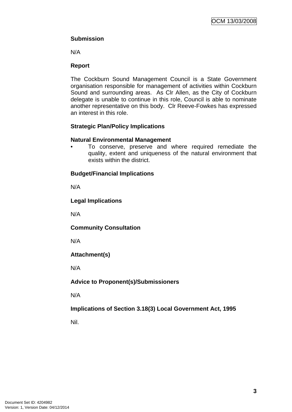# **Submission**

N/A

# **Report**

The Cockburn Sound Management Council is a State Government organisation responsible for management of activities within Cockburn Sound and surrounding areas. As Clr Allen, as the City of Cockburn delegate is unable to continue in this role, Council is able to nominate another representative on this body. Clr Reeve-Fowkes has expressed an interest in this role.

# **Strategic Plan/Policy Implications**

# **Natural Environmental Management**

• To conserve, preserve and where required remediate the quality, extent and uniqueness of the natural environment that exists within the district.

# **Budget/Financial Implications**

N/A

# **Legal Implications**

N/A

# **Community Consultation**

N/A

# **Attachment(s)**

N/A

# **Advice to Proponent(s)/Submissioners**

N/A

# **Implications of Section 3.18(3) Local Government Act, 1995**

Nil.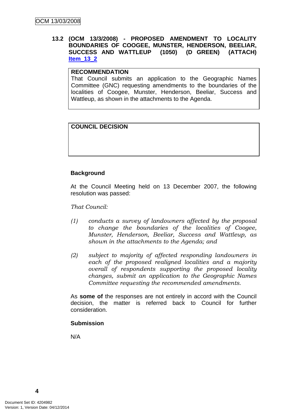# <span id="page-7-0"></span>**13.2 (OCM 13/3/2008) - PROPOSED AMENDMENT TO LOCALITY BOUNDARIES OF COOGEE, MUNSTER, HENDERSON, BEELIAR, SUCCESS AND WATTLEUP (1050) (D GREEN) (ATTACH) Item\_13\_2**

# **RECOMMENDATION**

That Council submits an application to the Geographic Names Committee (GNC) requesting amendments to the boundaries of the localities of Coogee, Munster, Henderson, Beeliar, Success and Wattleup, as shown in the attachments to the Agenda.

# **COUNCIL DECISION**

# **Background**

At the Council Meeting held on 13 December 2007, the following resolution was passed:

#### *That Council:*

- *(1) conducts a survey of landowners affected by the proposal to change the boundaries of the localities of Coogee, Munster, Henderson, Beeliar, Success and Wattleup, as shown in the attachments to the Agenda; and*
- *(2) subject to majority of affected responding landowners in*  each of the proposed realigned localities and a majority *overall of respondents supporting the proposed locality changes, submit an application to the Geographic Names Committee requesting the recommended amendments.*

As **some of** the responses are not entirely in accord with the Council decision, the matter is referred back to Council for further consideration.

#### **Submission**

N/A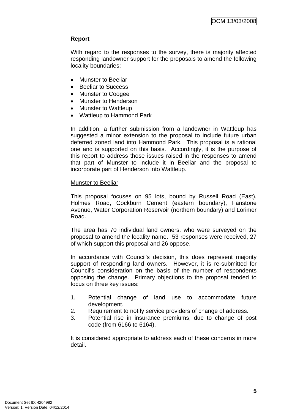# **Report**

With regard to the responses to the survey, there is majority affected responding landowner support for the proposals to amend the following locality boundaries:

- Munster to Beeliar
- Beeliar to Success
- Munster to Coogee
- Munster to Henderson
- Munster to Wattleup
- Wattleup to Hammond Park

In addition, a further submission from a landowner in Wattleup has suggested a minor extension to the proposal to include future urban deferred zoned land into Hammond Park. This proposal is a rational one and is supported on this basis. Accordingly, it is the purpose of this report to address those issues raised in the responses to amend that part of Munster to include it in Beeliar and the proposal to incorporate part of Henderson into Wattleup.

# Munster to Beeliar

This proposal focuses on 95 lots, bound by Russell Road (East), Holmes Road, Cockburn Cement (eastern boundary), Fanstone Avenue, Water Corporation Reservoir (northern boundary) and Lorimer Road.

The area has 70 individual land owners, who were surveyed on the proposal to amend the locality name. 53 responses were received, 27 of which support this proposal and 26 oppose.

In accordance with Council's decision, this does represent majority support of responding land owners. However, it is re-submitted for Council's consideration on the basis of the number of respondents opposing the change. Primary objections to the proposal tended to focus on three key issues:

- 1. Potential change of land use to accommodate future development.
- 2. Requirement to notify service providers of change of address.
- 3. Potential rise in insurance premiums, due to change of post code (from 6166 to 6164).

It is considered appropriate to address each of these concerns in more detail.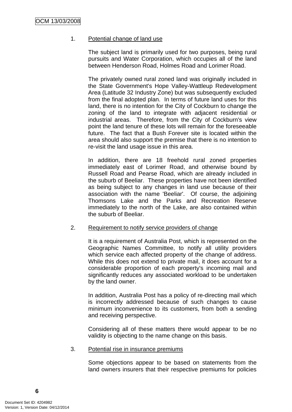# 1. Potential change of land use

The subject land is primarily used for two purposes, being rural pursuits and Water Corporation, which occupies all of the land between Henderson Road, Holmes Road and Lorimer Road.

The privately owned rural zoned land was originally included in the State Government's Hope Valley-Wattleup Redevelopment Area (Latitude 32 Industry Zone) but was subsequently excluded from the final adopted plan. In terms of future land uses for this land, there is no intention for the City of Cockburn to change the zoning of the land to integrate with adjacent residential or industrial areas. Therefore, from the City of Cockburn's view point the land tenure of these lots will remain for the foreseeable future. The fact that a Bush Forever site is located within the area should also support the premise that there is no intention to re-visit the land usage issue in this area.

In addition, there are 18 freehold rural zoned properties immediately east of Lorimer Road, and otherwise bound by Russell Road and Pearse Road, which are already included in the suburb of Beeliar. These properties have not been identified as being subject to any changes in land use because of their association with the name 'Beeliar'. Of course, the adjoining Thomsons Lake and the Parks and Recreation Reserve immediately to the north of the Lake, are also contained within the suburb of Beeliar.

#### 2. Requirement to notify service providers of change

It is a requirement of Australia Post, which is represented on the Geographic Names Committee, to notify all utility providers which service each affected property of the change of address. While this does not extend to private mail, it does account for a considerable proportion of each property's incoming mail and significantly reduces any associated workload to be undertaken by the land owner.

In addition, Australia Post has a policy of re-directing mail which is incorrectly addressed because of such changes to cause minimum inconvenience to its customers, from both a sending and receiving perspective.

Considering all of these matters there would appear to be no validity is objecting to the name change on this basis.

# 3. Potential rise in insurance premiums

Some objections appear to be based on statements from the land owners insurers that their respective premiums for policies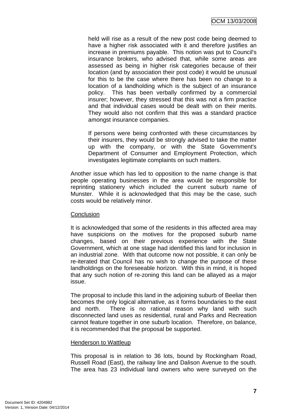held will rise as a result of the new post code being deemed to have a higher risk associated with it and therefore justifies an increase in premiums payable. This notion was put to Council's insurance brokers, who advised that, while some areas are assessed as being in higher risk categories because of their location (and by association their post code) it would be unusual for this to be the case where there has been no change to a location of a landholding which is the subject of an insurance policy. This has been verbally confirmed by a commercial insurer; however, they stressed that this was not a firm practice and that individual cases would be dealt with on their merits. They would also not confirm that this was a standard practice amongst insurance companies.

If persons were being confronted with these circumstances by their insurers, they would be strongly advised to take the matter up with the company, or with the State Government's Department of Consumer and Employment Protection, which investigates legitimate complaints on such matters.

Another issue which has led to opposition to the name change is that people operating businesses in the area would be responsible for reprinting stationery which included the current suburb name of Munster. While it is acknowledged that this may be the case, such costs would be relatively minor.

# **Conclusion**

It is acknowledged that some of the residents in this affected area may have suspicions on the motives for the proposed suburb name changes, based on their previous experience with the State Government, which at one stage had identified this land for inclusion in an industrial zone. With that outcome now not possible, it can only be re-iterated that Council has no wish to change the purpose of these landholdings on the foreseeable horizon. With this in mind, it is hoped that any such notion of re-zoning this land can be allayed as a major issue.

The proposal to include this land in the adjoining suburb of Beeliar then becomes the only logical alternative, as it forms boundaries to the east and north. There is no rational reason why land with such disconnected land uses as residential, rural and Parks and Recreation cannot feature together in one suburb location. Therefore, on balance, it is recommended that the proposal be supported.

# Henderson to Wattleup

This proposal is in relation to 36 lots, bound by Rockingham Road, Russell Road (East), the railway line and Dalison Avenue to the south. The area has 23 individual land owners who were surveyed on the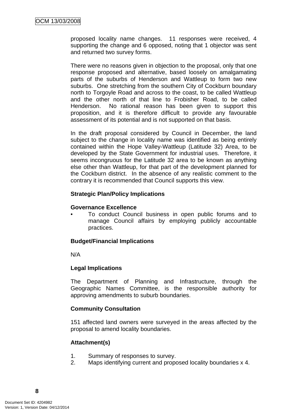proposed locality name changes. 11 responses were received, 4 supporting the change and 6 opposed, noting that 1 objector was sent and returned two survey forms.

There were no reasons given in objection to the proposal, only that one response proposed and alternative, based loosely on amalgamating parts of the suburbs of Henderson and Wattleup to form two new suburbs. One stretching from the southern City of Cockburn boundary north to Torgoyle Road and across to the coast, to be called Wattleup and the other north of that line to Frobisher Road, to be called Henderson. No rational reason has been given to support this proposition, and it is therefore difficult to provide any favourable assessment of its potential and is not supported on that basis.

In the draft proposal considered by Council in December, the land subject to the change in locality name was identified as being entirely contained within the Hope Valley-Wattleup (Latitude 32) Area, to be developed by the State Government for industrial uses. Therefore, it seems incongruous for the Latitude 32 area to be known as anything else other than Wattleup, for that part of the development planned for the Cockburn district. In the absence of any realistic comment to the contrary it is recommended that Council supports this view.

# **Strategic Plan/Policy Implications**

#### **Governance Excellence**

• To conduct Council business in open public forums and to manage Council affairs by employing publicly accountable practices.

# **Budget/Financial Implications**

N/A

# **Legal Implications**

The Department of Planning and Infrastructure, through the Geographic Names Committee, is the responsible authority for approving amendments to suburb boundaries.

# **Community Consultation**

151 affected land owners were surveyed in the areas affected by the proposal to amend locality boundaries.

# **Attachment(s)**

- 1. Summary of responses to survey.
- 2. Maps identifying current and proposed locality boundaries x 4.

**8**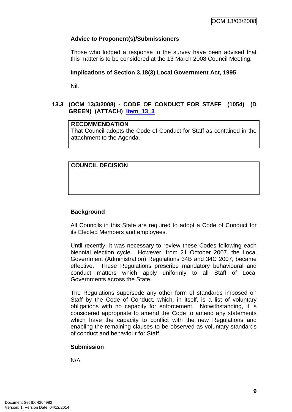# <span id="page-12-0"></span>**Advice to Proponent(s)/Submissioners**

Those who lodged a response to the survey have been advised that this matter is to be considered at the 13 March 2008 Council Meeting.

### **Implications of Section 3.18(3) Local Government Act, 1995**

Nil.

# **13.3 (OCM 13/3/2008) - CODE OF CONDUCT FOR STAFF (1054) (D GREEN) (ATTACH) Item\_13\_3**

# **RECOMMENDATION**

That Council adopts the Code of Conduct for Staff as contained in the attachment to the Agenda.

# **COUNCIL DECISION**

# **Background**

All Councils in this State are required to adopt a Code of Conduct for its Elected Members and employees.

Until recently, it was necessary to review these Codes following each biennial election cycle. However, from 21 October 2007, the Local Government (Administration) Regulations 34B and 34C 2007, became effective. These Regulations prescribe mandatory behavioural and conduct matters which apply uniformly to all Staff of Local Governments across the State.

The Regulations supersede any other form of standards imposed on Staff by the Code of Conduct, which, in itself, is a list of voluntary obligations with no capacity for enforcement. Notwithstanding, it is considered appropriate to amend the Code to amend any statements which have the capacity to conflict with the new Regulations and enabling the remaining clauses to be observed as voluntary standards of conduct and behaviour for Staff.

# **Submission**

N/A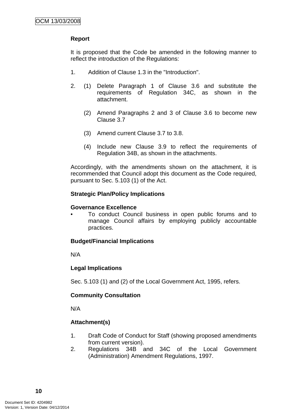# **Report**

It is proposed that the Code be amended in the following manner to reflect the introduction of the Regulations:

- 1. Addition of Clause 1.3 in the "Introduction".
- 2. (1) Delete Paragraph 1 of Clause 3.6 and substitute the requirements of Regulation 34C, as shown in the attachment.
	- (2) Amend Paragraphs 2 and 3 of Clause 3.6 to become new Clause 3.7
	- (3) Amend current Clause 3.7 to 3.8.
	- (4) Include new Clause 3.9 to reflect the requirements of Regulation 34B, as shown in the attachments.

Accordingly, with the amendments shown on the attachment, it is recommended that Council adopt this document as the Code required, pursuant to Sec. 5.103 (1) of the Act.

# **Strategic Plan/Policy Implications**

# **Governance Excellence**

• To conduct Council business in open public forums and to manage Council affairs by employing publicly accountable practices.

# **Budget/Financial Implications**

N/A

# **Legal Implications**

Sec. 5.103 (1) and (2) of the Local Government Act, 1995, refers.

# **Community Consultation**

N/A

# **Attachment(s)**

- 1. Draft Code of Conduct for Staff (showing proposed amendments from current version).
- 2. Regulations 34B and 34C of the Local Government (Administration) Amendment Regulations, 1997.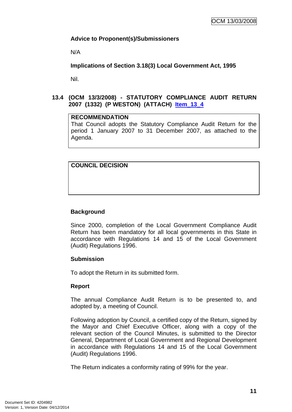# <span id="page-14-0"></span>**Advice to Proponent(s)/Submissioners**

N/A

**Implications of Section 3.18(3) Local Government Act, 1995**

Nil.

# **13.4 (OCM 13/3/2008) - STATUTORY COMPLIANCE AUDIT RETURN 2007 (1332) (P WESTON) (ATTACH) Item\_13\_4**

# **RECOMMENDATION**

That Council adopts the Statutory Compliance Audit Return for the period 1 January 2007 to 31 December 2007, as attached to the Agenda.

# **COUNCIL DECISION**

# **Background**

Since 2000, completion of the Local Government Compliance Audit Return has been mandatory for all local governments in this State in accordance with Regulations 14 and 15 of the Local Government (Audit) Regulations 1996.

# **Submission**

To adopt the Return in its submitted form.

# **Report**

The annual Compliance Audit Return is to be presented to, and adopted by, a meeting of Council.

Following adoption by Council, a certified copy of the Return, signed by the Mayor and Chief Executive Officer, along with a copy of the relevant section of the Council Minutes, is submitted to the Director General, Department of Local Government and Regional Development in accordance with Regulations 14 and 15 of the Local Government (Audit) Regulations 1996.

The Return indicates a conformity rating of 99% for the year.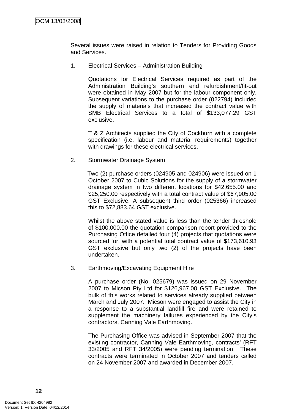Several issues were raised in relation to Tenders for Providing Goods and Services.

1. Electrical Services – Administration Building

Quotations for Electrical Services required as part of the Administration Building's southern end refurbishment/fit-out were obtained in May 2007 but for the labour component only. Subsequent variations to the purchase order (022794) included the supply of materials that increased the contract value with SMB Electrical Services to a total of \$133,077.29 GST exclusive.

T & Z Architects supplied the City of Cockburn with a complete specification (i.e. labour and material requirements) together with drawings for these electrical services.

2. Stormwater Drainage System

Two (2) purchase orders (024905 and 024906) were issued on 1 October 2007 to Cubic Solutions for the supply of a stormwater drainage system in two different locations for \$42,655.00 and \$25,250.00 respectively with a total contract value of \$67,905.00 GST Exclusive. A subsequent third order (025366) increased this to \$72,883.64 GST exclusive.

Whilst the above stated value is less than the tender threshold of \$100,000.00 the quotation comparison report provided to the Purchasing Office detailed four (4) projects that quotations were sourced for, with a potential total contract value of \$173,610.93 GST exclusive but only two (2) of the projects have been undertaken.

3. Earthmoving/Excavating Equipment Hire

A purchase order (No. 025679) was issued on 29 November 2007 to Micson Pty Ltd for \$126,967.00 GST Exclusive. The bulk of this works related to services already supplied between March and July 2007. Micson were engaged to assist the City in a response to a substantial landfill fire and were retained to supplement the machinery failures experienced by the City's contractors, Canning Vale Earthmoving.

The Purchasing Office was advised in September 2007 that the existing contractor, Canning Vale Earthmoving, contracts' (RFT 33/2005 and RFT 34/2005) were pending termination. These contracts were terminated in October 2007 and tenders called on 24 November 2007 and awarded in December 2007.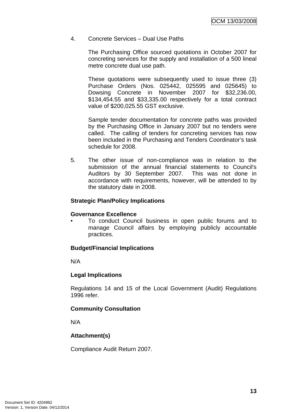# 4. Concrete Services – Dual Use Paths

The Purchasing Office sourced quotations in October 2007 for concreting services for the supply and installation of a 500 lineal metre concrete dual use path.

These quotations were subsequently used to issue three (3) Purchase Orders (Nos. 025442, 025595 and 025645) to Dowsing Concrete in November 2007 for \$32,236.00, \$134,454.55 and \$33,335.00 respectively for a total contract value of \$200,025.55 GST exclusive.

Sample tender documentation for concrete paths was provided by the Purchasing Office in January 2007 but no tenders were called. The calling of tenders for concreting services has now been included in the Purchasing and Tenders Coordinator's task schedule for 2008.

5. The other issue of non-compliance was in relation to the submission of the annual financial statements to Council's Auditors by 30 September 2007. This was not done in accordance with requirements, however, will be attended to by the statutory date in 2008.

#### **Strategic Plan/Policy Implications**

# **Governance Excellence**

• To conduct Council business in open public forums and to manage Council affairs by employing publicly accountable practices.

# **Budget/Financial Implications**

N/A

# **Legal Implications**

Regulations 14 and 15 of the Local Government (Audit) Regulations 1996 refer.

# **Community Consultation**

N/A

# **Attachment(s)**

Compliance Audit Return 2007.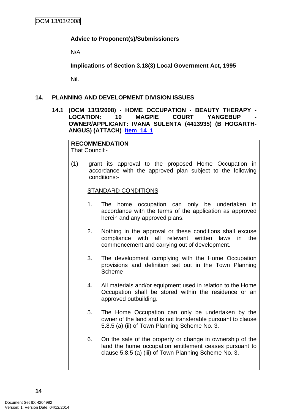# <span id="page-17-0"></span>**Advice to Proponent(s)/Submissioners**

N/A

**Implications of Section 3.18(3) Local Government Act, 1995**

Nil.

# **14. PLANNING AND DEVELOPMENT DIVISION ISSUES**

**14.1 (OCM 13/3/2008) - HOME OCCUPATION - BEAUTY THERAPY -**  LOCATION: 10 MAGPIE COURT YANGEBUP **OWNER/APPLICANT: IVANA SULENTA (4413935) (B HOGARTH-ANGUS) (ATTACH) Item\_14\_1**

# **RECOMMENDATION**

That Council:-

(1) grant its approval to the proposed Home Occupation in accordance with the approved plan subject to the following conditions:-

# STANDARD CONDITIONS

- 1. The home occupation can only be undertaken in accordance with the terms of the application as approved herein and any approved plans.
- 2. Nothing in the approval or these conditions shall excuse compliance with all relevant written laws in the commencement and carrying out of development.
- 3. The development complying with the Home Occupation provisions and definition set out in the Town Planning Scheme
- 4. All materials and/or equipment used in relation to the Home Occupation shall be stored within the residence or an approved outbuilding.
- 5. The Home Occupation can only be undertaken by the owner of the land and is not transferable pursuant to clause 5.8.5 (a) (ii) of Town Planning Scheme No. 3.
- 6. On the sale of the property or change in ownership of the land the home occupation entitlement ceases pursuant to clause 5.8.5 (a) (iii) of Town Planning Scheme No. 3.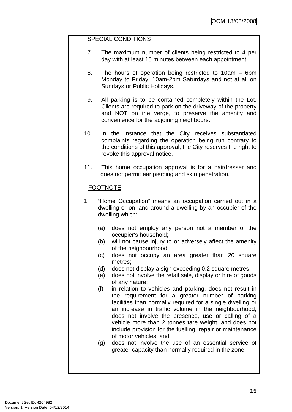# SPECIAL CONDITIONS

- 7. The maximum number of clients being restricted to 4 per day with at least 15 minutes between each appointment.
- 8. The hours of operation being restricted to 10am 6pm Monday to Friday, 10am-2pm Saturdays and not at all on Sundays or Public Holidays.
- 9. All parking is to be contained completely within the Lot. Clients are required to park on the driveway of the property and NOT on the verge, to preserve the amenity and convenience for the adjoining neighbours.
- 10. In the instance that the City receives substantiated complaints regarding the operation being run contrary to the conditions of this approval, the City reserves the right to revoke this approval notice.
- 11. This home occupation approval is for a hairdresser and does not permit ear piercing and skin penetration.

# FOOTNOTE

- 1. "Home Occupation" means an occupation carried out in a dwelling or on land around a dwelling by an occupier of the dwelling which:-
	- (a) does not employ any person not a member of the occupier's household;
	- (b) will not cause injury to or adversely affect the amenity of the neighbourhood;
	- (c) does not occupy an area greater than 20 square metres;
	- (d) does not display a sign exceeding 0.2 square metres;
	- (e) does not involve the retail sale, display or hire of goods of any nature;
	- (f) in relation to vehicles and parking, does not result in the requirement for a greater number of parking facilities than normally required for a single dwelling or an increase in traffic volume in the neighbourhood, does not involve the presence, use or calling of a vehicle more than 2 tonnes tare weight, and does not include provision for the fuelling, repair or maintenance of motor vehicles; and
	- (g) does not involve the use of an essential service of greater capacity than normally required in the zone.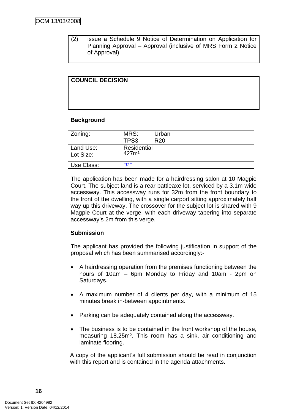(2) issue a Schedule 9 Notice of Determination on Application for Planning Approval – Approval (inclusive of MRS Form 2 Notice of Approval).

# **COUNCIL DECISION**

# **Background**

| Zoning:    | MRS:              | Urban           |
|------------|-------------------|-----------------|
|            | TPS3              | R <sub>20</sub> |
| Land Use:  | Residential       |                 |
| Lot Size:  | 427 <sub>m²</sub> |                 |
| Use Class: | <u>"D"</u>        |                 |

The application has been made for a hairdressing salon at 10 Magpie Court. The subject land is a rear battleaxe lot, serviced by a 3.1m wide accessway. This accessway runs for 32m from the front boundary to the front of the dwelling, with a single carport sitting approximately half way up this driveway. The crossover for the subject lot is shared with 9 Magpie Court at the verge, with each driveway tapering into separate accessway's 2m from this verge.

# **Submission**

The applicant has provided the following justification in support of the proposal which has been summarised accordingly:-

- A hairdressing operation from the premises functioning between the hours of 10am – 6pm Monday to Friday and 10am - 2pm on Saturdays.
- A maximum number of 4 clients per day, with a minimum of 15 minutes break in-between appointments.
- Parking can be adequately contained along the accessway.
- The business is to be contained in the front workshop of the house, measuring 18.25m². This room has a sink, air conditioning and laminate flooring.

A copy of the applicant's full submission should be read in conjunction with this report and is contained in the agenda attachments.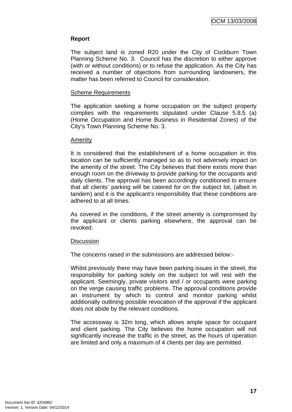# **Report**

The subject land is zoned R20 under the City of Cockburn Town Planning Scheme No. 3. Council has the discretion to either approve (with or without conditions) or to refuse the application. As the City has received a number of objections from surrounding landowners, the matter has been referred to Council for consideration.

### Scheme Requirements

The application seeking a home occupation on the subject property complies with the requirements stipulated under Clause 5.8.5 (a) (Home Occupation and Home Business in Residential Zones) of the City's Town Planning Scheme No. 3.

#### Amenity

It is considered that the establishment of a home occupation in this location can be sufficiently managed so as to not adversely impact on the amenity of the street. The City believes that there exists more than enough room on the driveway to provide parking for the occupants and daily clients. The approval has been accordingly conditioned to ensure that all clients' parking will be catered for on the subject lot, (albeit in tandem) and it is the applicant's responsibility that these conditions are adhered to at all times.

As covered in the conditions, if the street amenity is compromised by the applicant or clients parking elsewhere, the approval can be revoked.

# **Discussion**

The concerns raised in the submissions are addressed below:-

Whilst previously there may have been parking issues in the street, the responsibility for parking solely on the subject lot will rest with the applicant. Seemingly, private visitors and / or occupants were parking on the verge causing traffic problems. The approval conditions provide an instrument by which to control and monitor parking whilst additionally outlining possible revocation of the approval if the applicant does not abide by the relevant conditions.

The accessway is 32m long, which allows ample space for occupant and client parking. The City believes the home occupation will not significantly increase the traffic in the street, as the hours of operation are limited and only a maximum of 4 clients per day are permitted.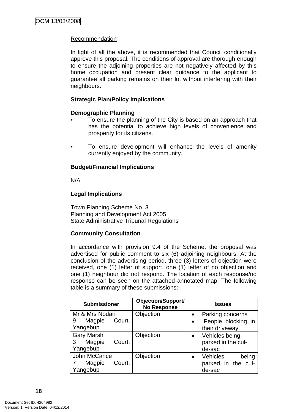# Recommendation

In light of all the above, it is recommended that Council conditionally approve this proposal. The conditions of approval are thorough enough to ensure the adjoining properties are not negatively affected by this home occupation and present clear guidance to the applicant to guarantee all parking remains on their lot without interfering with their neighbours.

# **Strategic Plan/Policy Implications**

# **Demographic Planning**

- To ensure the planning of the City is based on an approach that has the potential to achieve high levels of convenience and prosperity for its citizens.
- To ensure development will enhance the levels of amenity currently enjoyed by the community.

# **Budget/Financial Implications**

N/A

# **Legal Implications**

Town Planning Scheme No. 3 Planning and Development Act 2005 State Administrative Tribunal Regulations

# **Community Consultation**

In accordance with provision 9.4 of the Scheme, the proposal was advertised for public comment to six (6) adjoining neighbours. At the conclusion of the advertising period, three (3) letters of objection were received, one (1) letter of support, one (1) letter of no objection and one (1) neighbour did not respond. The location of each response/no response can be seen on the attached annotated map. The following table is a summary of these submissions:-

| <b>Submissioner</b>   | <b>Objection/Support/</b><br><b>No Response</b> | <b>Issues</b>                         |  |  |
|-----------------------|-------------------------------------------------|---------------------------------------|--|--|
| Mr & Mrs Nodari       | Objection                                       | Parking concerns<br>$\bullet$         |  |  |
| Magpie<br>9<br>Court, |                                                 | People blocking in<br>$\bullet$       |  |  |
| Yangebup              |                                                 | their driveway                        |  |  |
| <b>Gary Marsh</b>     | Objection                                       | Vehicles being<br>$\bullet$           |  |  |
| Magpie<br>3<br>Court, |                                                 | parked in the cul-                    |  |  |
| Yangebup              |                                                 | de-sac                                |  |  |
| John McCance          | Objection                                       | <b>Vehicles</b><br>being<br>$\bullet$ |  |  |
| Court,<br>Magpie      |                                                 | parked in the cul-                    |  |  |
| Yangebup              |                                                 | de-sac                                |  |  |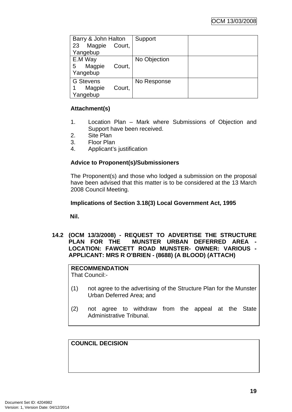<span id="page-22-0"></span>

| Barry & John Halton    | Support      |  |
|------------------------|--------------|--|
| Magpie<br>23<br>Court, |              |  |
| Yangebup               |              |  |
| E.M Way                | No Objection |  |
| Magpie<br>5<br>Court,  |              |  |
| Yangebup               |              |  |
| <b>G</b> Stevens       | No Response  |  |
| Magpie<br>Court,       |              |  |
| Yangebup               |              |  |

# **Attachment(s)**

- 1. Location Plan Mark where Submissions of Objection and Support have been received.
- 2. Site Plan
- 3. Floor Plan
- 4. Applicant's justification

# **Advice to Proponent(s)/Submissioners**

The Proponent(s) and those who lodged a submission on the proposal have been advised that this matter is to be considered at the 13 March 2008 Council Meeting.

# **Implications of Section 3.18(3) Local Government Act, 1995**

**Nil.** 

**14.2 (OCM 13/3/2008) - REQUEST TO ADVERTISE THE STRUCTURE PLAN FOR THE MUNSTER URBAN DEFERRED AREA LOCATION: FAWCETT ROAD MUNSTER- OWNER: VARIOUS - APPLICANT: MRS R O'BRIEN - (8688) (A BLOOD) (ATTACH)** 

#### **RECOMMENDATION** That Council:-

- (1) not agree to the advertising of the Structure Plan for the Munster Urban Deferred Area; and
- (2) not agree to withdraw from the appeal at the State Administrative Tribunal.

**COUNCIL DECISION**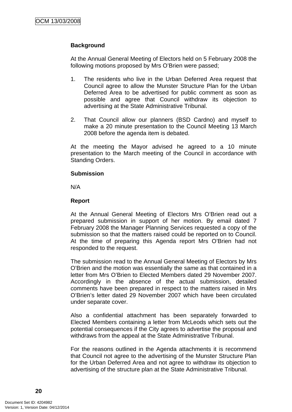# **Background**

At the Annual General Meeting of Electors held on 5 February 2008 the following motions proposed by Mrs O'Brien were passed;

- 1. The residents who live in the Urban Deferred Area request that Council agree to allow the Munster Structure Plan for the Urban Deferred Area to be advertised for public comment as soon as possible and agree that Council withdraw its objection to advertising at the State Administrative Tribunal.
- 2. That Council allow our planners (BSD Cardno) and myself to make a 20 minute presentation to the Council Meeting 13 March 2008 before the agenda item is debated.

At the meeting the Mayor advised he agreed to a 10 minute presentation to the March meeting of the Council in accordance with Standing Orders.

#### **Submission**

N/A

# **Report**

At the Annual General Meeting of Electors Mrs O'Brien read out a prepared submission in support of her motion. By email dated 7 February 2008 the Manager Planning Services requested a copy of the submission so that the matters raised could be reported on to Council. At the time of preparing this Agenda report Mrs O'Brien had not responded to the request.

The submission read to the Annual General Meeting of Electors by Mrs O'Brien and the motion was essentially the same as that contained in a letter from Mrs O'Brien to Elected Members dated 29 November 2007. Accordingly in the absence of the actual submission, detailed comments have been prepared in respect to the matters raised in Mrs O'Brien's letter dated 29 November 2007 which have been circulated under separate cover.

Also a confidential attachment has been separately forwarded to Elected Members containing a letter from McLeods which sets out the potential consequences if the City agrees to advertise the proposal and withdraws from the appeal at the State Administrative Tribunal.

For the reasons outlined in the Agenda attachments it is recommend that Council not agree to the advertising of the Munster Structure Plan for the Urban Deferred Area and not agree to withdraw its objection to advertising of the structure plan at the State Administrative Tribunal.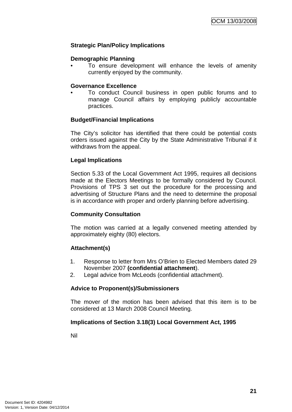# **Strategic Plan/Policy Implications**

# **Demographic Planning**

To ensure development will enhance the levels of amenity currently enjoyed by the community.

### **Governance Excellence**

• To conduct Council business in open public forums and to manage Council affairs by employing publicly accountable practices.

# **Budget/Financial Implications**

The City's solicitor has identified that there could be potential costs orders issued against the City by the State Administrative Tribunal if it withdraws from the appeal.

# **Legal Implications**

Section 5.33 of the Local Government Act 1995, requires all decisions made at the Electors Meetings to be formally considered by Council. Provisions of TPS 3 set out the procedure for the processing and advertising of Structure Plans and the need to determine the proposal is in accordance with proper and orderly planning before advertising.

# **Community Consultation**

The motion was carried at a legally convened meeting attended by approximately eighty (80) electors.

# **Attachment(s)**

- 1. Response to letter from Mrs O'Brien to Elected Members dated 29 November 2007 **(confidential attachment**).
- 2. Legal advice from McLeods (confidential attachment).

# **Advice to Proponent(s)/Submissioners**

The mover of the motion has been advised that this item is to be considered at 13 March 2008 Council Meeting.

# **Implications of Section 3.18(3) Local Government Act, 1995**

Nil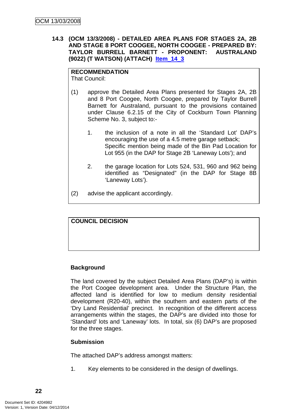<span id="page-25-0"></span>**14.3 (OCM 13/3/2008) - DETAILED AREA PLANS FOR STAGES 2A, 2B AND STAGE 8 PORT COOGEE, NORTH COOGEE - PREPARED BY: TAYLOR BURRELL BARNETT - PROPONENT: AUSTRALAND (9022) (T WATSON) (ATTACH) Item\_14\_3**

# **RECOMMENDATION**

That Council:

- (1) approve the Detailed Area Plans presented for Stages 2A, 2B and 8 Port Coogee, North Coogee, prepared by Taylor Burrell Barnett for Australand, pursuant to the provisions contained under Clause 6.2.15 of the City of Cockburn Town Planning Scheme No. 3, subject to:-
	- 1. the inclusion of a note in all the 'Standard Lot' DAP's encouraging the use of a 4.5 metre garage setback; Specific mention being made of the Bin Pad Location for Lot 955 (in the DAP for Stage 2B 'Laneway Lots'); and
	- 2. the garage location for Lots 524, 531, 960 and 962 being identified as "Designated" (in the DAP for Stage 8B 'Laneway Lots').
- (2) advise the applicant accordingly.



# **Background**

The land covered by the subject Detailed Area Plans (DAP's) is within the Port Coogee development area. Under the Structure Plan, the affected land is identified for low to medium density residential development (R20-40), within the southern and eastern parts of the 'Dry Land Residential' precinct. In recognition of the different access arrangements within the stages, the DAP's are divided into those for 'Standard' lots and 'Laneway' lots. In total, six (6) DAP's are proposed for the three stages.

# **Submission**

The attached DAP's address amongst matters:

1. Key elements to be considered in the design of dwellings.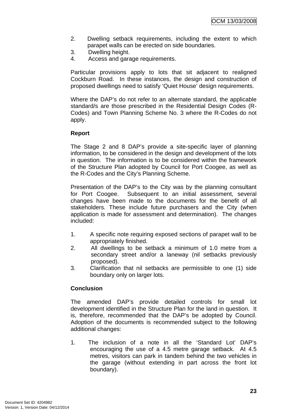- 2. Dwelling setback requirements, including the extent to which parapet walls can be erected on side boundaries.
- 3. Dwelling height.
- 4. Access and garage requirements.

Particular provisions apply to lots that sit adjacent to realigned Cockburn Road. In these instances, the design and construction of proposed dwellings need to satisfy 'Quiet House' design requirements.

Where the DAP's do not refer to an alternate standard, the applicable standard/s are those prescribed in the Residential Design Codes (R-Codes) and Town Planning Scheme No. 3 where the R-Codes do not apply.

# **Report**

The Stage 2 and 8 DAP's provide a site-specific layer of planning information, to be considered in the design and development of the lots in question. The information is to be considered within the framework of the Structure Plan adopted by Council for Port Coogee, as well as the R-Codes and the City's Planning Scheme.

Presentation of the DAP's to the City was by the planning consultant for Port Coogee. Subsequent to an initial assessment, several changes have been made to the documents for the benefit of all stakeholders. These include future purchasers and the City (when application is made for assessment and determination). The changes included:

- 1. A specific note requiring exposed sections of parapet wall to be appropriately finished.
- 2. All dwellings to be setback a minimum of 1.0 metre from a secondary street and/or a laneway (nil setbacks previously proposed).
- 3. Clarification that nil setbacks are permissible to one (1) side boundary only on larger lots.

# **Conclusion**

The amended DAP's provide detailed controls for small lot development identified in the Structure Plan for the land in question. It is, therefore, recommended that the DAP's be adopted by Council. Adoption of the documents is recommended subject to the following additional changes:

1. The inclusion of a note in all the 'Standard Lot' DAP's encouraging the use of a 4.5 metre garage setback. At 4.5 metres, visitors can park in tandem behind the two vehicles in the garage (without extending in part across the front lot boundary).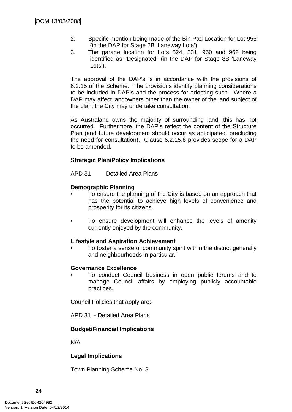- 2. Specific mention being made of the Bin Pad Location for Lot 955 (in the DAP for Stage 2B 'Laneway Lots').
- 3. The garage location for Lots 524, 531, 960 and 962 being identified as "Designated" (in the DAP for Stage 8B 'Laneway Lots').

The approval of the DAP's is in accordance with the provisions of 6.2.15 of the Scheme. The provisions identify planning considerations to be included in DAP's and the process for adopting such. Where a DAP may affect landowners other than the owner of the land subject of the plan, the City may undertake consultation.

As Australand owns the majority of surrounding land, this has not occurred. Furthermore, the DAP's reflect the content of the Structure Plan (and future development should occur as anticipated, precluding the need for consultation). Clause 6.2.15.8 provides scope for a DAP to be amended.

# **Strategic Plan/Policy Implications**

APD 31 Detailed Area Plans

# **Demographic Planning**

- To ensure the planning of the City is based on an approach that has the potential to achieve high levels of convenience and prosperity for its citizens.
- To ensure development will enhance the levels of amenity currently enjoyed by the community.

# **Lifestyle and Aspiration Achievement**

• To foster a sense of community spirit within the district generally and neighbourhoods in particular.

# **Governance Excellence**

• To conduct Council business in open public forums and to manage Council affairs by employing publicly accountable practices.

Council Policies that apply are:-

APD 31 - Detailed Area Plans

# **Budget/Financial Implications**

N/A

# **Legal Implications**

Town Planning Scheme No. 3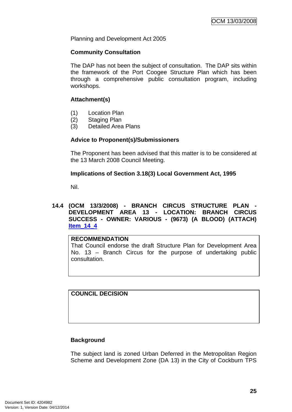<span id="page-28-0"></span>Planning and Development Act 2005

#### **Community Consultation**

The DAP has not been the subject of consultation. The DAP sits within the framework of the Port Coogee Structure Plan which has been through a comprehensive public consultation program, including workshops.

# **Attachment(s)**

- (1) Location Plan
- (2) Staging Plan
- (3) Detailed Area Plans

# **Advice to Proponent(s)/Submissioners**

The Proponent has been advised that this matter is to be considered at the 13 March 2008 Council Meeting.

# **Implications of Section 3.18(3) Local Government Act, 1995**

Nil.

# **14.4 (OCM 13/3/2008) - BRANCH CIRCUS STRUCTURE PLAN - DEVELOPMENT AREA 13 - LOCATION: BRANCH CIRCUS SUCCESS - OWNER: VARIOUS - (9673) (A BLOOD) (ATTACH) Item\_14\_4**

#### **RECOMMENDATION**

That Council endorse the draft Structure Plan for Development Area No. 13 – Branch Circus for the purpose of undertaking public consultation.

**COUNCIL DECISION**

# **Background**

The subject land is zoned Urban Deferred in the Metropolitan Region Scheme and Development Zone (DA 13) in the City of Cockburn TPS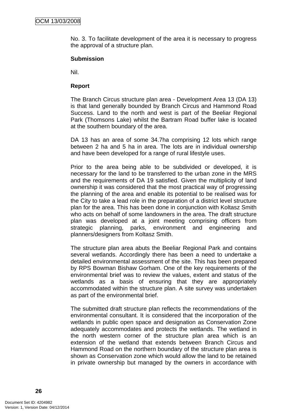No. 3. To facilitate development of the area it is necessary to progress the approval of a structure plan.

# **Submission**

Nil.

### **Report**

The Branch Circus structure plan area - Development Area 13 (DA 13) is that land generally bounded by Branch Circus and Hammond Road Success. Land to the north and west is part of the Beeliar Regional Park (Thomsons Lake) whilst the Bartram Road buffer lake is located at the southern boundary of the area.

DA 13 has an area of some 34.7ha comprising 12 lots which range between 2 ha and 5 ha in area. The lots are in individual ownership and have been developed for a range of rural lifestyle uses.

Prior to the area being able to be subdivided or developed, it is necessary for the land to be transferred to the urban zone in the MRS and the requirements of DA 19 satisfied. Given the multiplicity of land ownership it was considered that the most practical way of progressing the planning of the area and enable its potential to be realised was for the City to take a lead role in the preparation of a district level structure plan for the area. This has been done in conjunction with Koltasz Smith who acts on behalf of some landowners in the area. The draft structure plan was developed at a joint meeting comprising officers from strategic planning, parks, environment and engineering and planners/designers from Koltasz Smith.

The structure plan area abuts the Beeliar Regional Park and contains several wetlands. Accordingly there has been a need to undertake a detailed environmental assessment of the site. This has been prepared by RPS Bowman Bishaw Gorham. One of the key requirements of the environmental brief was to review the values, extent and status of the wetlands as a basis of ensuring that they are appropriately accommodated within the structure plan. A site survey was undertaken as part of the environmental brief.

The submitted draft structure plan reflects the recommendations of the environmental consultant. It is considered that the incorporation of the wetlands in public open space and designation as Conservation Zone adequately accommodates and protects the wetlands. The wetland in the north western corner of the structure plan area which is an extension of the wetland that extends between Branch Circus and Hammond Road on the northern boundary of the structure plan area is shown as Conservation zone which would allow the land to be retained in private ownership but managed by the owners in accordance with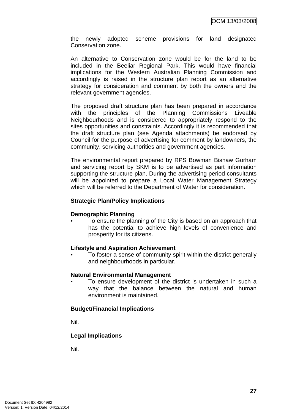the newly adopted scheme provisions for land designated Conservation zone.

An alternative to Conservation zone would be for the land to be included in the Beeliar Regional Park. This would have financial implications for the Western Australian Planning Commission and accordingly is raised in the structure plan report as an alternative strategy for consideration and comment by both the owners and the relevant government agencies.

The proposed draft structure plan has been prepared in accordance with the principles of the Planning Commissions Liveable Neighbourhoods and is considered to appropriately respond to the sites opportunities and constraints. Accordingly it is recommended that the draft structure plan (see Agenda attachments) be endorsed by Council for the purpose of advertising for comment by landowners, the community, servicing authorities and government agencies.

The environmental report prepared by RPS Bowman Bishaw Gorham and servicing report by SKM is to be advertised as part information supporting the structure plan. During the advertising period consultants will be appointed to prepare a Local Water Management Strategy which will be referred to the Department of Water for consideration.

#### **Strategic Plan/Policy Implications**

#### **Demographic Planning**

• To ensure the planning of the City is based on an approach that has the potential to achieve high levels of convenience and prosperity for its citizens.

#### **Lifestyle and Aspiration Achievement**

• To foster a sense of community spirit within the district generally and neighbourhoods in particular.

#### **Natural Environmental Management**

• To ensure development of the district is undertaken in such a way that the balance between the natural and human environment is maintained.

# **Budget/Financial Implications**

Nil.

# **Legal Implications**

Nil.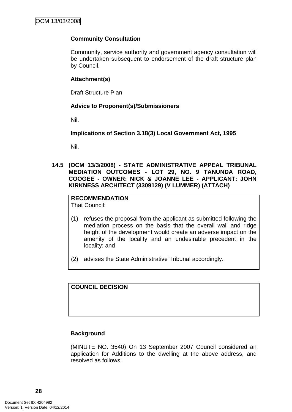# <span id="page-31-0"></span>**Community Consultation**

Community, service authority and government agency consultation will be undertaken subsequent to endorsement of the draft structure plan by Council.

# **Attachment(s)**

Draft Structure Plan

# **Advice to Proponent(s)/Submissioners**

Nil.

**Implications of Section 3.18(3) Local Government Act, 1995**

Nil.

**14.5 (OCM 13/3/2008) - STATE ADMINISTRATIVE APPEAL TRIBUNAL MEDIATION OUTCOMES - LOT 29, NO. 9 TANUNDA ROAD, COOGEE - OWNER: NICK & JOANNE LEE - APPLICANT: JOHN KIRKNESS ARCHITECT (3309129) (V LUMMER) (ATTACH)** 

**RECOMMENDATION** That Council:

- (1) refuses the proposal from the applicant as submitted following the mediation process on the basis that the overall wall and ridge height of the development would create an adverse impact on the amenity of the locality and an undesirable precedent in the locality; and
- (2) advises the State Administrative Tribunal accordingly.

**COUNCIL DECISION**

# **Background**

(MINUTE NO. 3540) On 13 September 2007 Council considered an application for Additions to the dwelling at the above address, and resolved as follows: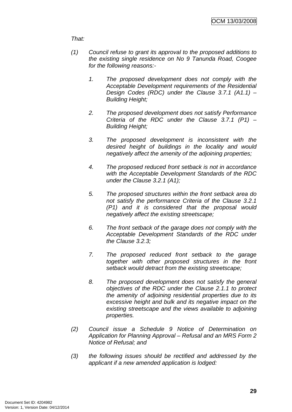# *That:*

- *(1) Council refuse to grant its approval to the proposed additions to the existing single residence on No 9 Tanunda Road, Coogee for the following reasons:-* 
	- *1. The proposed development does not comply with the Acceptable Development requirements of the Residential Design Codes (RDC) under the Clause 3.7.1 (A1.1) – Building Height;*
	- *2. The proposed development does not satisfy Performance Criteria of the RDC under the Clause 3.7.1 (P1) – Building Height;*
	- *3. The proposed development is inconsistent with the desired height of buildings in the locality and would negatively affect the amenity of the adjoining properties;*
	- *4. The proposed reduced front setback is not in accordance with the Acceptable Development Standards of the RDC under the Clause 3.2.1 (A1);*
	- *5. The proposed structures within the front setback area do not satisfy the performance Criteria of the Clause 3.2.1 (P1) and it is considered that the proposal would negatively affect the existing streetscape;*
	- *6. The front setback of the garage does not comply with the Acceptable Development Standards of the RDC under the Clause 3.2.3;*
	- *7. The proposed reduced front setback to the garage together with other proposed structures in the front setback would detract from the existing streetscape;*
	- *8. The proposed development does not satisfy the general objectives of the RDC under the Clause 2.1.1 to protect the amenity of adjoining residential properties due to its excessive height and bulk and its negative impact on the existing streetscape and the views available to adjoining properties.*
- *(2) Council issue a Schedule 9 Notice of Determination on Application for Planning Approval – Refusal and an MRS Form 2 Notice of Refusal; and*
- *(3) the following issues should be rectified and addressed by the applicant if a new amended application is lodged:*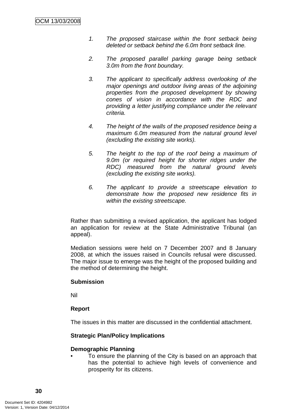- *1. The proposed staircase within the front setback being deleted or setback behind the 6.0m front setback line.*
- *2. The proposed parallel parking garage being setback 3.0m from the front boundary.*
- *3. The applicant to specifically address overlooking of the major openings and outdoor living areas of the adjoining properties from the proposed development by showing cones of vision in accordance with the RDC and providing a letter justifying compliance under the relevant criteria.*
- *4. The height of the walls of the proposed residence being a maximum 6.0m measured from the natural ground level (excluding the existing site works).*
- *5. The height to the top of the roof being a maximum of 9.0m (or required height for shorter ridges under the RDC) measured from the natural ground levels (excluding the existing site works).*
- *6. The applicant to provide a streetscape elevation to demonstrate how the proposed new residence fits in within the existing streetscape.*

Rather than submitting a revised application, the applicant has lodged an application for review at the State Administrative Tribunal (an appeal).

Mediation sessions were held on 7 December 2007 and 8 January 2008, at which the issues raised in Councils refusal were discussed. The major issue to emerge was the height of the proposed building and the method of determining the height.

# **Submission**

Nil

# **Report**

The issues in this matter are discussed in the confidential attachment.

# **Strategic Plan/Policy Implications**

# **Demographic Planning**

• To ensure the planning of the City is based on an approach that has the potential to achieve high levels of convenience and prosperity for its citizens.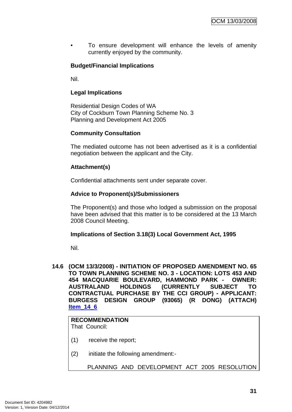<span id="page-34-0"></span>To ensure development will enhance the levels of amenity currently enjoyed by the community.

# **Budget/Financial Implications**

Nil.

# **Legal Implications**

Residential Design Codes of WA City of Cockburn Town Planning Scheme No. 3 Planning and Development Act 2005

# **Community Consultation**

The mediated outcome has not been advertised as it is a confidential negotiation between the applicant and the City.

#### **Attachment(s)**

Confidential attachments sent under separate cover.

#### **Advice to Proponent(s)/Submissioners**

The Proponent(s) and those who lodged a submission on the proposal have been advised that this matter is to be considered at the 13 March 2008 Council Meeting.

#### **Implications of Section 3.18(3) Local Government Act, 1995**

Nil.

**14.6 (OCM 13/3/2008) - INITIATION OF PROPOSED AMENDMENT NO. 65 TO TOWN PLANNING SCHEME NO. 3 - LOCATION: LOTS 453 AND 454 MACQUARIE BOULEVARD, HAMMOND PARK - OWNER: AUSTRALAND HOLDINGS (CURRENTLY SUBJECT TO CONTRACTUAL PURCHASE BY THE CCI GROUP) - APPLICANT: BURGESS DESIGN GROUP (93065) (R DONG) (ATTACH) Item\_14\_6**

# **RECOMMENDATION**

That Council:

- (1) receive the report;
- (2) initiate the following amendment:-

PLANNING AND DEVELOPMENT ACT 2005 RESOLUTION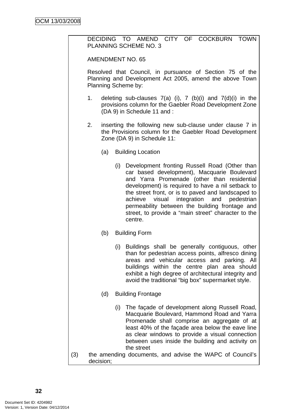DECIDING TO AMEND CITY OF COCKBURN TOWN PLANNING SCHEME NO. 3

AMENDMENT NO. 65

Resolved that Council, in pursuance of Section 75 of the Planning and Development Act 2005, amend the above Town Planning Scheme by:

- 1. deleting sub-clauses  $7(a)$  (i),  $7$  (b)(i) and  $7(d)(i)$  in the provisions column for the Gaebler Road Development Zone (DA 9) in Schedule 11 and :
- 2. inserting the following new sub-clause under clause 7 in the Provisions column for the Gaebler Road Development Zone (DA 9) in Schedule 11:
	- (a) Building Location
		- (i) Development fronting Russell Road (Other than car based development), Macquarie Boulevard and Yarra Promenade (other than residential development) is required to have a nil setback to the street front, or is to paved and landscaped to achieve visual integration and pedestrian permeability between the building frontage and street, to provide a "main street" character to the centre.
	- (b) Building Form
		- (i) Buildings shall be generally contiguous, other than for pedestrian access points, alfresco dining areas and vehicular access and parking. All buildings within the centre plan area should exhibit a high degree of architectural integrity and avoid the traditional "big box" supermarket style.
	- (d) Building Frontage
	- (i) The façade of development along Russell Road, Macquarie Boulevard, Hammond Road and Yarra Promenade shall comprise an aggregate of at least 40% of the façade area below the eave line as clear windows to provide a visual connection between uses inside the building and activity on the street
- (3) the amending documents, and advise the WAPC of Council's decision;

**32**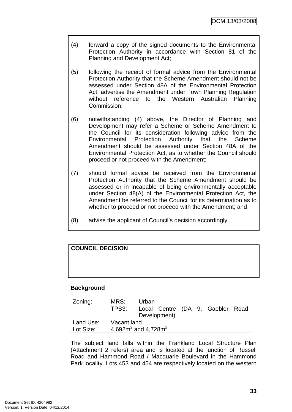- (4) forward a copy of the signed documents to the Environmental Protection Authority in accordance with Section 81 of the Planning and Development Act;
- (5) following the receipt of formal advice from the Environmental Protection Authority that the Scheme Amendment should not be assessed under Section 48A of the Environmental Protection Act, advertise the Amendment under Town Planning Regulation without reference to the Western Australian Planning Commission;
- (6) notwithstanding (4) above, the Director of Planning and Development may refer a Scheme or Scheme Amendment to the Council for its consideration following advice from the Environmental Protection Authority that the Scheme Amendment should be assessed under Section 48A of the Environmental Protection Act, as to whether the Council should proceed or not proceed with the Amendment;
- (7) should formal advice be received from the Environmental Protection Authority that the Scheme Amendment should be assessed or in incapable of being environmentally acceptable under Section 48(A) of the Environmental Protection Act, the Amendment be referred to the Council for its determination as to whether to proceed or not proceed with the Amendment; and
- (8) advise the applicant of Council's decision accordingly.

| <b>COUNCIL DECISION</b> |  |  |
|-------------------------|--|--|
|                         |  |  |
|                         |  |  |
|                         |  |  |

# **Background**

| Zoning:   | MRS:                        | Urban |              |  |                                  |  |
|-----------|-----------------------------|-------|--------------|--|----------------------------------|--|
|           | TPS3:                       |       |              |  | Local Centre (DA 9, Gaebler Road |  |
|           |                             |       | Development) |  |                                  |  |
| Land Use: | Vacant land.                |       |              |  |                                  |  |
| Lot Size: | 4,692 $m^2$ and 4,728 $m^2$ |       |              |  |                                  |  |

The subject land falls within the Frankland Local Structure Plan (Attachment 2 refers) area and is located at the junction of Russell Road and Hammond Road / Macquarie Boulevard in the Hammond Park locality. Lots 453 and 454 are respectively located on the western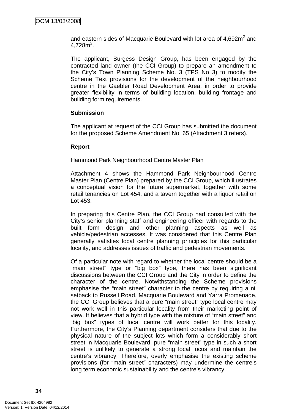and eastern sides of Macquarie Boulevard with lot area of  $4,692m^2$  and  $4,728m^2$ .

The applicant, Burgess Design Group, has been engaged by the contracted land owner (the CCI Group) to prepare an amendment to the City's Town Planning Scheme No. 3 (TPS No 3) to modify the Scheme Text provisions for the development of the neighbourhood centre in the Gaebler Road Development Area, in order to provide greater flexibility in terms of building location, building frontage and building form requirements.

# **Submission**

The applicant at request of the CCI Group has submitted the document for the proposed Scheme Amendment No. 65 (Attachment 3 refers).

#### **Report**

#### Hammond Park Neighbourhood Centre Master Plan

Attachment 4 shows the Hammond Park Neighbourhood Centre Master Plan (Centre Plan) prepared by the CCI Group, which illustrates a conceptual vision for the future supermarket, together with some retail tenancies on Lot 454, and a tavern together with a liquor retail on Lot 453.

In preparing this Centre Plan, the CCI Group had consulted with the City's senior planning staff and engineering officer with regards to the built form design and other planning aspects as well as vehicle/pedestrian accesses. It was considered that this Centre Plan generally satisfies local centre planning principles for this particular locality, and addresses issues of traffic and pedestrian movements.

Of a particular note with regard to whether the local centre should be a "main street" type or "big box" type, there has been significant discussions between the CCI Group and the City in order to define the character of the centre. Notwithstanding the Scheme provisions emphasise the "main street" character to the centre by requiring a nil setback to Russell Road, Macquarie Boulevard and Yarra Promenade, the CCI Group believes that a pure "main street" type local centre may not work well in this particular locality from their marketing point of view. It believes that a hybrid type with the mixture of "main street" and "big box" types of local centre will work better for this locality. Furthermore, the City's Planning department considers that due to the physical nature of the subject lots which form a considerably short street in Macquarie Boulevard, pure "main street" type in such a short street is unlikely to generate a strong local focus and maintain the centre's vibrancy. Therefore, overly emphasise the existing scheme provisions (for "main street" characters) may undermine the centre's long term economic sustainability and the centre's vibrancy.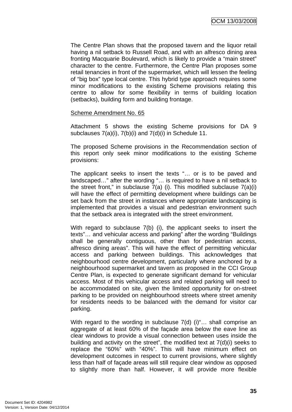The Centre Plan shows that the proposed tavern and the liquor retail having a nil setback to Russell Road, and with an alfresco dining area fronting Macquarie Boulevard, which is likely to provide a "main street" character to the centre. Furthermore, the Centre Plan proposes some retail tenancies in front of the supermarket, which will lessen the feeling of "big box" type local centre. This hybrid type approach requires some minor modifications to the existing Scheme provisions relating this centre to allow for some flexibility in terms of building location (setbacks), building form and building frontage.

#### Scheme Amendment No. 65

Attachment 5 shows the existing Scheme provisions for DA 9 subclauses 7(a)(i), 7(b)(i) and 7(d)(i) in Schedule 11.

The proposed Scheme provisions in the Recommendation section of this report only seek minor modifications to the existing Scheme provisions:

The applicant seeks to insert the texts "… or is to be paved and landscaped…" after the wording "… is required to have a nil setback to the street front," in subclause  $7(a)$  (i). This modified subclause  $7(a)(i)$ will have the effect of permitting development where buildings can be set back from the street in instances where appropriate landscaping is implemented that provides a visual and pedestrian environment such that the setback area is integrated with the street environment.

With regard to subclause 7(b) (i), the applicant seeks to insert the texts"… and vehicular access and parking" after the wording "Buildings shall be generally contiguous, other than for pedestrian access, alfresco dining areas". This will have the effect of permitting vehicular access and parking between buildings. This acknowledges that neighbourhood centre development, particularly where anchored by a neighbourhood supermarket and tavern as proposed in the CCI Group Centre Plan, is expected to generate significant demand for vehicular access. Most of this vehicular access and related parking will need to be accommodated on site, given the limited opportunity for on-street parking to be provided on neighbourhood streets where street amenity for residents needs to be balanced with the demand for visitor car parking.

With regard to the wording in subclause 7(d) (i)"... shall comprise an aggregate of at least 60% of the façade area below the eave line as clear windows to provide a visual connection between uses inside the building and activity on the street", the modified text at 7(d)(i) seeks to replace the "60%" with "40%". This will have minimum effect on development outcomes in respect to current provisions, where slightly less than half of façade areas will still require clear window as opposed to slightly more than half. However, it will provide more flexible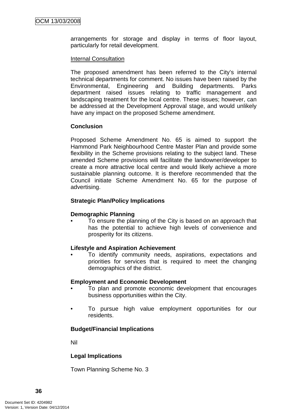arrangements for storage and display in terms of floor layout, particularly for retail development.

### Internal Consultation

The proposed amendment has been referred to the City's internal technical departments for comment. No issues have been raised by the Environmental, Engineering and Building departments. Parks department raised issues relating to traffic management and landscaping treatment for the local centre. These issues; however, can be addressed at the Development Approval stage, and would unlikely have any impact on the proposed Scheme amendment.

# **Conclusion**

Proposed Scheme Amendment No. 65 is aimed to support the Hammond Park Neighbourhood Centre Master Plan and provide some flexibility in the Scheme provisions relating to the subject land. These amended Scheme provisions will facilitate the landowner/developer to create a more attractive local centre and would likely achieve a more sustainable planning outcome. It is therefore recommended that the Council initiate Scheme Amendment No. 65 for the purpose of advertising.

#### **Strategic Plan/Policy Implications**

# **Demographic Planning**

• To ensure the planning of the City is based on an approach that has the potential to achieve high levels of convenience and prosperity for its citizens.

#### **Lifestyle and Aspiration Achievement**

• To identify community needs, aspirations, expectations and priorities for services that is required to meet the changing demographics of the district.

#### **Employment and Economic Development**

- To plan and promote economic development that encourages business opportunities within the City.
- To pursue high value employment opportunities for our residents.

# **Budget/Financial Implications**

Nil

# **Legal Implications**

Town Planning Scheme No. 3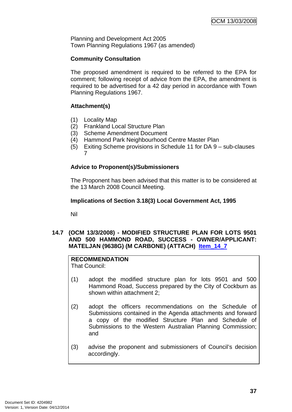<span id="page-40-0"></span>Planning and Development Act 2005 Town Planning Regulations 1967 (as amended)

# **Community Consultation**

The proposed amendment is required to be referred to the EPA for comment; following receipt of advice from the EPA, the amendment is required to be advertised for a 42 day period in accordance with Town Planning Regulations 1967.

# **Attachment(s)**

- (1) Locality Map
- (2) Frankland Local Structure Plan
- (3) Scheme Amendment Document
- (4) Hammond Park Neighbourhood Centre Master Plan
- (5) Exiting Scheme provisions in Schedule 11 for DA 9 sub-clauses 7

# **Advice to Proponent(s)/Submissioners**

The Proponent has been advised that this matter is to be considered at the 13 March 2008 Council Meeting.

# **Implications of Section 3.18(3) Local Government Act, 1995**

Nil

# **14.7 (OCM 13/3/2008) - MODIFIED STRUCTURE PLAN FOR LOTS 9501 AND 500 HAMMOND ROAD, SUCCESS - OWNER/APPLICANT: MATELJAN (9638G) (M CARBONE) (ATTACH) Item\_14\_7**

# **RECOMMENDATION**

That Council:

- (1) adopt the modified structure plan for lots 9501 and 500 Hammond Road, Success prepared by the City of Cockburn as shown within attachment 2;
- (2) adopt the officers recommendations on the Schedule of Submissions contained in the Agenda attachments and forward a copy of the modified Structure Plan and Schedule of Submissions to the Western Australian Planning Commission; and
- (3) advise the proponent and submissioners of Council's decision accordingly.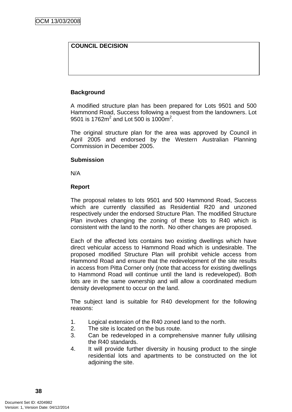# **COUNCIL DECISION**

# **Background**

A modified structure plan has been prepared for Lots 9501 and 500 Hammond Road, Success following a request from the landowners. Lot 9501 is 1762 $m^2$  and Lot 500 is 1000 $m^2$ .

The original structure plan for the area was approved by Council in April 2005 and endorsed by the Western Australian Planning Commission in December 2005.

# **Submission**

N/A

# **Report**

The proposal relates to lots 9501 and 500 Hammond Road, Success which are currently classified as Residential R20 and unzoned respectively under the endorsed Structure Plan. The modified Structure Plan involves changing the zoning of these lots to R40 which is consistent with the land to the north. No other changes are proposed.

Each of the affected lots contains two existing dwellings which have direct vehicular access to Hammond Road which is undesirable. The proposed modified Structure Plan will prohibit vehicle access from Hammond Road and ensure that the redevelopment of the site results in access from Pitta Corner only (note that access for existing dwellings to Hammond Road will continue until the land is redeveloped). Both lots are in the same ownership and will allow a coordinated medium density development to occur on the land.

The subject land is suitable for R40 development for the following reasons:

- 1. Logical extension of the R40 zoned land to the north.
- 2. The site is located on the bus route.
- 3. Can be redeveloped in a comprehensive manner fully utilising the R40 standards.
- 4. It will provide further diversity in housing product to the single residential lots and apartments to be constructed on the lot adjoining the site.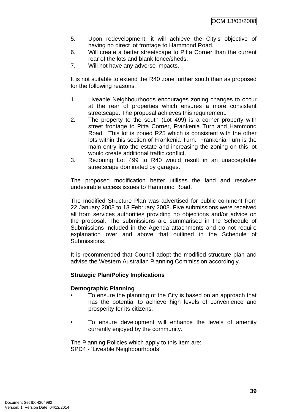- 5. Upon redevelopment, it will achieve the City's objective of having no direct lot frontage to Hammond Road.
- 6. Will create a better streetscape to Pitta Corner than the current rear of the lots and blank fence/sheds.
- 7. Will not have any adverse impacts.

It is not suitable to extend the R40 zone further south than as proposed for the following reasons:

- 1. Liveable Neighbourhoods encourages zoning changes to occur at the rear of properties which ensures a more consistent streetscape. The proposal achieves this requirement.
- 2. The property to the south (Lot 499) is a corner property with street frontage to Pitta Corner, Frankenia Turn and Hammond Road. This lot is zoned R25 which is consistent with the other lots within this section of Frankenia Turn. Frankenia Turn is the main entry into the estate and increasing the zoning on this lot would create additional traffic conflict.
- 3. Rezoning Lot 499 to R40 would result in an unacceptable streetscape dominated by garages.

The proposed modification better utilises the land and resolves undesirable access issues to Hammond Road.

The modified Structure Plan was advertised for public comment from 22 January 2008 to 13 February 2008. Five submissions were received all from services authorities providing no objections and/or advice on the proposal. The submissions are summarised in the Schedule of Submissions included in the Agenda attachments and do not require explanation over and above that outlined in the Schedule of Submissions.

It is recommended that Council adopt the modified structure plan and advise the Western Australian Planning Commission accordingly.

# **Strategic Plan/Policy Implications**

# **Demographic Planning**

- To ensure the planning of the City is based on an approach that has the potential to achieve high levels of convenience and prosperity for its citizens.
- To ensure development will enhance the levels of amenity currently enjoyed by the community.

The Planning Policies which apply to this item are: SPD4 - 'Liveable Neighbourhoods'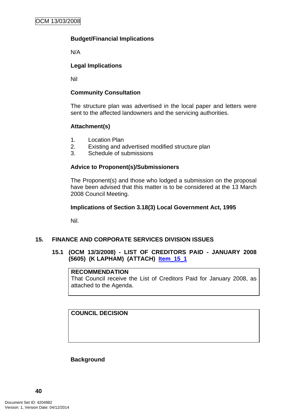# <span id="page-43-0"></span>**Budget/Financial Implications**

N/A

# **Legal Implications**

Nil

# **Community Consultation**

The structure plan was advertised in the local paper and letters were sent to the affected landowners and the servicing authorities.

# **Attachment(s)**

- 1. Location Plan
- 2. Existing and advertised modified structure plan
- 3. Schedule of submissions

# **Advice to Proponent(s)/Submissioners**

The Proponent(s) and those who lodged a submission on the proposal have been advised that this matter is to be considered at the 13 March 2008 Council Meeting.

# **Implications of Section 3.18(3) Local Government Act, 1995**

Nil.

# **15. FINANCE AND CORPORATE SERVICES DIVISION ISSUES**

# **15.1 (OCM 13/3/2008) - LIST OF CREDITORS PAID - JANUARY 2008 (5605) (K LAPHAM) (ATTACH) Item\_15\_1**

# **RECOMMENDATION**

That Council receive the List of Creditors Paid for January 2008, as attached to the Agenda.

# **COUNCIL DECISION**

**Background**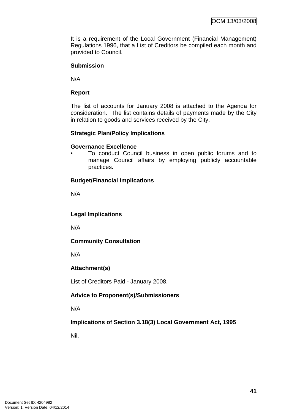It is a requirement of the Local Government (Financial Management) Regulations 1996, that a List of Creditors be compiled each month and provided to Council.

# **Submission**

N/A

# **Report**

The list of accounts for January 2008 is attached to the Agenda for consideration. The list contains details of payments made by the City in relation to goods and services received by the City.

# **Strategic Plan/Policy Implications**

# **Governance Excellence**

• To conduct Council business in open public forums and to manage Council affairs by employing publicly accountable practices.

# **Budget/Financial Implications**

N/A

**Legal Implications** 

N/A

# **Community Consultation**

N/A

# **Attachment(s)**

List of Creditors Paid - January 2008.

# **Advice to Proponent(s)/Submissioners**

N/A

# **Implications of Section 3.18(3) Local Government Act, 1995**

Nil.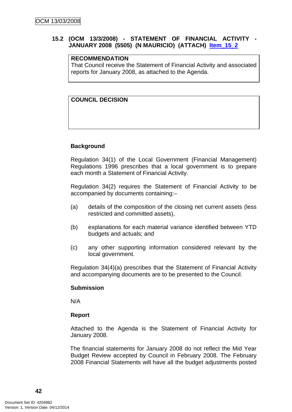# <span id="page-45-0"></span>**15.2 (OCM 13/3/2008) - STATEMENT OF FINANCIAL ACTIVITY - JANUARY 2008 (5505) (N MAURICIO) (ATTACH) Item\_15\_2**

#### **RECOMMENDATION**

That Council receive the Statement of Financial Activity and associated reports for January 2008, as attached to the Agenda.

# **COUNCIL DECISION**

#### **Background**

Regulation 34(1) of the Local Government (Financial Management) Regulations 1996 prescribes that a local government is to prepare each month a Statement of Financial Activity.

Regulation 34(2) requires the Statement of Financial Activity to be accompanied by documents containing:–

- (a) details of the composition of the closing net current assets (less restricted and committed assets),
- (b) explanations for each material variance identified between YTD budgets and actuals; and
- (c) any other supporting information considered relevant by the local government.

Regulation 34(4)(a) prescribes that the Statement of Financial Activity and accompanying documents are to be presented to the Council.

#### **Submission**

N/A

# **Report**

Attached to the Agenda is the Statement of Financial Activity for January 2008.

The financial statements for January 2008 do not reflect the Mid Year Budget Review accepted by Council in February 2008. The February 2008 Financial Statements will have all the budget adjustments posted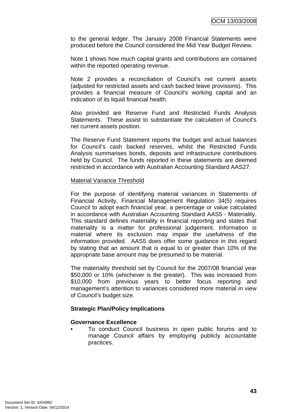to the general ledger. The January 2008 Financial Statements were produced before the Council considered the Mid Year Budget Review.

Note 1 shows how much capital grants and contributions are contained within the reported operating revenue.

Note 2 provides a reconciliation of Council's net current assets (adjusted for restricted assets and cash backed leave provisions). This provides a financial measure of Council's working capital and an indication of its liquid financial health.

Also provided are Reserve Fund and Restricted Funds Analysis Statements. These assist to substantiate the calculation of Council's net current assets position.

The Reserve Fund Statement reports the budget and actual balances for Council's cash backed reserves, whilst the Restricted Funds Analysis summarises bonds, deposits and infrastructure contributions held by Council. The funds reported in these statements are deemed restricted in accordance with Australian Accounting Standard AAS27.

#### Material Variance Threshold

For the purpose of identifying material variances in Statements of Financial Activity, Financial Management Regulation 34(5) requires Council to adopt each financial year, a percentage or value calculated in accordance with Australian Accounting Standard AAS5 - Materiality. This standard defines materiality in financial reporting and states that materiality is a matter for professional judgement. Information is material where its exclusion may impair the usefulness of the information provided. AAS5 does offer some guidance in this regard by stating that an amount that is equal to or greater than 10% of the appropriate base amount may be presumed to be material.

The materiality threshold set by Council for the 2007/08 financial year \$50,000 or 10% (whichever is the greater). This was increased from \$10,000 from previous years to better focus reporting and management's attention to variances considered more material in view of Council's budget size.

# **Strategic Plan/Policy Implications**

#### **Governance Excellence**

• To conduct Council business in open public forums and to manage Council affairs by employing publicly accountable practices.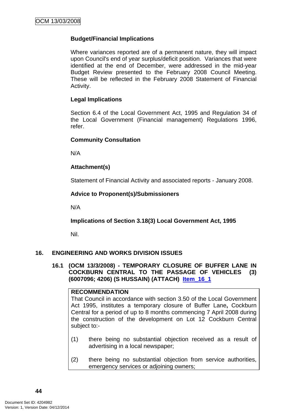# <span id="page-47-0"></span>**Budget/Financial Implications**

Where variances reported are of a permanent nature, they will impact upon Council's end of year surplus/deficit position. Variances that were identified at the end of December, were addressed in the mid-year Budget Review presented to the February 2008 Council Meeting. These will be reflected in the February 2008 Statement of Financial Activity.

# **Legal Implications**

Section 6.4 of the Local Government Act, 1995 and Regulation 34 of the Local Government (Financial management) Regulations 1996, refer.

#### **Community Consultation**

N/A

# **Attachment(s)**

Statement of Financial Activity and associated reports - January 2008.

# **Advice to Proponent(s)/Submissioners**

N/A

# **Implications of Section 3.18(3) Local Government Act, 1995**

Nil.

# **16. ENGINEERING AND WORKS DIVISION ISSUES**

**16.1 (OCM 13/3/2008) - TEMPORARY CLOSURE OF BUFFER LANE IN COCKBURN CENTRAL TO THE PASSAGE OF VEHICLES (3) (6007096; 4206) (S HUSSAIN) (ATTACH) Item\_16\_1**

#### **RECOMMENDATION**

That Council in accordance with section 3.50 of the Local Government Act 1995, institutes a temporary closure of Buffer Lane**,** Cockburn Central for a period of up to 8 months commencing 7 April 2008 during the construction of the development on Lot 12 Cockburn Central subject to:-

- (1) there being no substantial objection received as a result of advertising in a local newspaper;
- (2) there being no substantial objection from service authorities, emergency services or adjoining owners;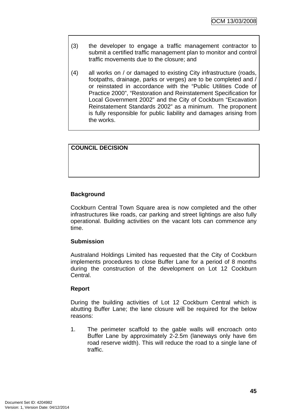- (3) the developer to engage a traffic management contractor to submit a certified traffic management plan to monitor and control traffic movements due to the closure; and
- (4) all works on / or damaged to existing City infrastructure (roads, footpaths, drainage, parks or verges) are to be completed and / or reinstated in accordance with the "Public Utilities Code of Practice 2000", "Restoration and Reinstatement Specification for Local Government 2002" and the City of Cockburn "Excavation Reinstatement Standards 2002" as a minimum. The proponent is fully responsible for public liability and damages arising from the works.

# **COUNCIL DECISION**

# **Background**

Cockburn Central Town Square area is now completed and the other infrastructures like roads, car parking and street lightings are also fully operational. Building activities on the vacant lots can commence any time.

# **Submission**

Australand Holdings Limited has requested that the City of Cockburn implements procedures to close Buffer Lane for a period of 8 months during the construction of the development on Lot 12 Cockburn Central.

# **Report**

During the building activities of Lot 12 Cockburn Central which is abutting Buffer Lane; the lane closure will be required for the below reasons:

1. The perimeter scaffold to the gable walls will encroach onto Buffer Lane by approximately 2-2.5m (laneways only have 6m road reserve width). This will reduce the road to a single lane of traffic.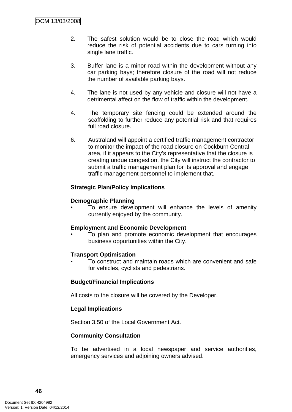- 2. The safest solution would be to close the road which would reduce the risk of potential accidents due to cars turning into single lane traffic.
- 3. Buffer lane is a minor road within the development without any car parking bays; therefore closure of the road will not reduce the number of available parking bays.
- 4. The lane is not used by any vehicle and closure will not have a detrimental affect on the flow of traffic within the development.
- 4. The temporary site fencing could be extended around the scaffolding to further reduce any potential risk and that requires full road closure.
- 6. Australand will appoint a certified traffic management contractor to monitor the impact of the road closure on Cockburn Central area, if it appears to the City's representative that the closure is creating undue congestion, the City will instruct the contractor to submit a traffic management plan for its approval and engage traffic management personnel to implement that.

# **Strategic Plan/Policy Implications**

# **Demographic Planning**

To ensure development will enhance the levels of amenity currently enjoyed by the community.

# **Employment and Economic Development**

• To plan and promote economic development that encourages business opportunities within the City.

# **Transport Optimisation**

• To construct and maintain roads which are convenient and safe for vehicles, cyclists and pedestrians.

# **Budget/Financial Implications**

All costs to the closure will be covered by the Developer.

# **Legal Implications**

Section 3.50 of the Local Government Act.

# **Community Consultation**

To be advertised in a local newspaper and service authorities, emergency services and adjoining owners advised.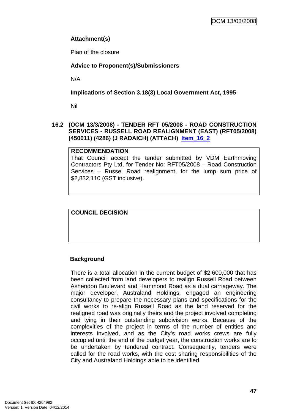# <span id="page-50-0"></span>**Attachment(s)**

Plan of the closure

# **Advice to Proponent(s)/Submissioners**

N/A

**Implications of Section 3.18(3) Local Government Act, 1995**

Nil

# **16.2 (OCM 13/3/2008) - TENDER RFT 05/2008 - ROAD CONSTRUCTION SERVICES - RUSSELL ROAD REALIGNMENT (EAST) (RFT05/2008) (450011) (4286) (J RADAICH) (ATTACH) Item\_16\_2**

# **RECOMMENDATION**

That Council accept the tender submitted by VDM Earthmoving Contractors Pty Ltd, for Tender No: RFT05/2008 – Road Construction Services – Russel Road realignment, for the lump sum price of \$2,832,110 (GST inclusive).

**COUNCIL DECISION**

# **Background**

There is a total allocation in the current budget of \$2,600,000 that has been collected from land developers to realign Russell Road between Ashendon Boulevard and Hammond Road as a dual carriageway. The major developer, Australand Holdings, engaged an engineering consultancy to prepare the necessary plans and specifications for the civil works to re-align Russell Road as the land reserved for the realigned road was originally theirs and the project involved completing and tying in their outstanding subdivision works. Because of the complexities of the project in terms of the number of entities and interests involved, and as the City's road works crews are fully occupied until the end of the budget year, the construction works are to be undertaken by tendered contract. Consequently, tenders were called for the road works, with the cost sharing responsibilities of the City and Australand Holdings able to be identified.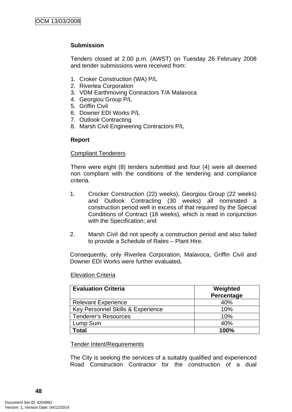# **Submission**

Tenders closed at 2.00 p.m. (AWST) on Tuesday 26 February 2008 and tender submissions were received from:

- 1. Croker Construction (WA) P/L
- 2. Riverlea Corporation
- 3. VDM Earthmoving Contractors T/A Malavoca
- 4. Georgiou Group P/L
- 5. Griffin Civil
- 6. Downer EDI Works P/L
- 7. Outlook Contracting
- 8. Marsh Civil Engineering Contractors P/L

#### **Report**

#### Compliant Tenderers

There were eight (8) tenders submitted and four (4) were all deemed non compliant with the conditions of the tendering and compliance criteria.

- 1. Crocker Construction (22) weeks), Georgiou Group (22 weeks) and Outlook Contracting (30 weeks) all nominated a construction period well in excess of that required by the Special Conditions of Contract (18 weeks), which is read in conjunction with the Specification; and
- 2. Marsh Civil did not specify a construction period and also failed to provide a Schedule of Rates – Plant Hire.

Consequently, only Riverlea Corporation, Malavoca, Griffin Civil and Downer EDI Works were further evaluated**.** 

| <b>Evaluation Criteria</b>        | Weighted<br>Percentage |
|-----------------------------------|------------------------|
| <b>Relevant Experience</b>        | 40%                    |
| Key Personnel Skills & Experience | 10%                    |
| <b>Tenderer's Resources</b>       | 10%                    |
| Lump Sum                          | 40%                    |
| <b>c</b> otal                     | 100%                   |

#### Elevation Criteria

#### Tender Intent/Requirements

The City is seeking the services of a suitably qualified and experienced Road Construction Contractor for the construction of a dual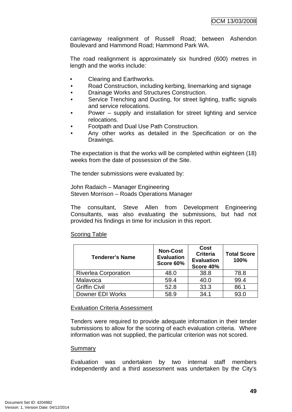carriageway realignment of Russell Road; between Ashendon Boulevard and Hammond Road; Hammond Park WA.

The road realignment is approximately six hundred (600) metres in length and the works include:

- Clearing and Earthworks.
- Road Construction, including kerbing, linemarking and signage
- Drainage Works and Structures Construction.
- Service Trenching and Ducting, for street lighting, traffic signals and service relocations.
- Power supply and installation for street lighting and service relocations.
- Footpath and Dual Use Path Construction.
- Any other works as detailed in the Specification or on the Drawings.

The expectation is that the works will be completed within eighteen (18) weeks from the date of possession of the Site.

The tender submissions were evaluated by:

John Radaich – Manager Engineering Steven Morrison – Roads Operations Manager

The consultant, Steve Allen from Development Engineering Consultants, was also evaluating the submissions, but had not provided his findings in time for inclusion in this report.

| <b>Tenderer's Name</b>      | <b>Non-Cost</b><br><b>Evaluation</b><br>Score 60% | Cost<br><b>Criteria</b><br><b>Evaluation</b><br>Score 40% | <b>Total Score</b><br>100% |
|-----------------------------|---------------------------------------------------|-----------------------------------------------------------|----------------------------|
| <b>Riverlea Corporation</b> | 48.0                                              | 38.8                                                      | 78.8                       |
| Malavoca                    | 59.4                                              | 40.0                                                      | 99.4                       |
| <b>Griffin Civil</b>        | 52.8                                              | 33.3                                                      | 86.1                       |
| Downer EDI Works            | 58.9                                              | 34.1                                                      | 93.0                       |

# Scoring Table

#### **Evaluation Criteria Assessment**

Tenders were required to provide adequate information in their tender submissions to allow for the scoring of each evaluation criteria. Where information was not supplied, the particular criterion was not scored.

#### Summary

Evaluation was undertaken by two internal staff members independently and a third assessment was undertaken by the City's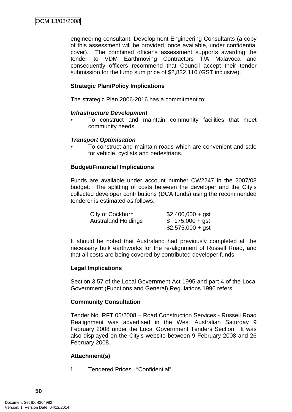engineering consultant, Development Engineering Consultants (a copy of this assessment will be provided, once available, under confidential cover). The combined officer's assessment supports awarding the tender to VDM Earthmoving Contractors T/A Malavoca and consequently officers recommend that Council accept their tender submission for the lump sum price of \$2,832,110 (GST inclusive).

# **Strategic Plan/Policy Implications**

The strategic Plan 2006-2016 has a commitment to:

#### *Infrastructure Development*

*•* To construct and maintain community facilities that meet community needs.

#### *Transport Optimisation*

*•* To construct and maintain roads which are convenient and safe for vehicle, cyclists and pedestrians*.* 

# **Budget/Financial Implications**

Funds are available under account number CW2247 in the 2007/08 budget. The splitting of costs between the developer and the City's collected developer contributions (DCA funds) using the recommended tenderer is estimated as follows:

| City of Cockburn           | $$2,400,000 + gst$ |
|----------------------------|--------------------|
| <b>Australand Holdings</b> | $$175,000 + gst$   |
|                            | $$2,575,000 + gst$ |

It should be noted that Australand had previously completed all the necessary bulk earthworks for the re-alignment of Russell Road, and that all costs are being covered by contributed developer funds.

# **Legal Implications**

Section 3.57 of the Local Government Act 1995 and part 4 of the Local Government (Functions and General) Regulations 1996 refers.

# **Community Consultation**

Tender No. RFT 05/2008 – Road Construction Services - Russell Road Realignment was advertised in the West Australian Saturday 9 February 2008 under the Local Government Tenders Section. It was also displayed on the City's website between 9 February 2008 and 26 February 2008.

# **Attachment(s)**

1. Tendered Prices –"Confidential"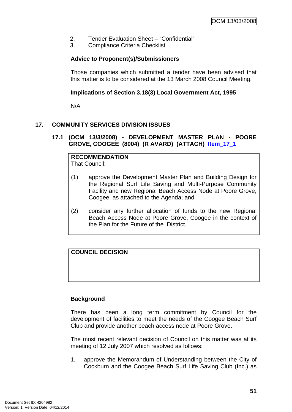- <span id="page-54-0"></span>2. Tender Evaluation Sheet – "Confidential"
- 3. Compliance Criteria Checklist

# **Advice to Proponent(s)/Submissioners**

Those companies which submitted a tender have been advised that this matter is to be considered at the 13 March 2008 Council Meeting.

# **Implications of Section 3.18(3) Local Government Act, 1995**

N/A

# **17. COMMUNITY SERVICES DIVISION ISSUES**

**17.1 (OCM 13/3/2008) - DEVELOPMENT MASTER PLAN - POORE GROVE, COOGEE (8004) (R AVARD) (ATTACH) Item\_17\_1**

**RECOMMENDATION** That Council:

- (1) approve the Development Master Plan and Building Design for the Regional Surf Life Saving and Multi-Purpose Community Facility and new Regional Beach Access Node at Poore Grove, Coogee, as attached to the Agenda; and
- (2) consider any further allocation of funds to the new Regional Beach Access Node at Poore Grove, Coogee in the context of the Plan for the Future of the District.

# **COUNCIL DECISION**

# **Background**

There has been a long term commitment by Council for the development of facilities to meet the needs of the Coogee Beach Surf Club and provide another beach access node at Poore Grove.

The most recent relevant decision of Council on this matter was at its meeting of 12 July 2007 which resolved as follows:

1. approve the Memorandum of Understanding between the City of Cockburn and the Coogee Beach Surf Life Saving Club (Inc.) as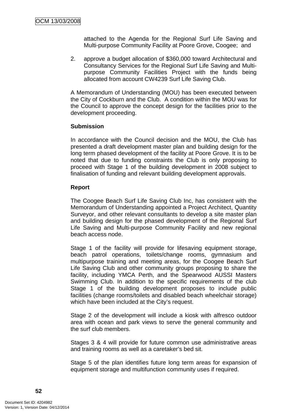attached to the Agenda for the Regional Surf Life Saving and Multi-purpose Community Facility at Poore Grove, Coogee; and

2. approve a budget allocation of \$360,000 toward Architectural and Consultancy Services for the Regional Surf Life Saving and Multipurpose Community Facilities Project with the funds being allocated from account CW4239 Surf Life Saving Club.

A Memorandum of Understanding (MOU) has been executed between the City of Cockburn and the Club. A condition within the MOU was for the Council to approve the concept design for the facilities prior to the development proceeding.

#### **Submission**

In accordance with the Council decision and the MOU, the Club has presented a draft development master plan and building design for the long term phased development of the facility at Poore Grove. It is to be noted that due to funding constraints the Club is only proposing to proceed with Stage 1 of the building development in 2008 subject to finalisation of funding and relevant building development approvals.

#### **Report**

The Coogee Beach Surf Life Saving Club Inc, has consistent with the Memorandum of Understanding appointed a Project Architect, Quantity Surveyor, and other relevant consultants to develop a site master plan and building design for the phased development of the Regional Surf Life Saving and Multi-purpose Community Facility and new regional beach access node.

Stage 1 of the facility will provide for lifesaving equipment storage, beach patrol operations, toilets/change rooms, gymnasium and multipurpose training and meeting areas, for the Coogee Beach Surf Life Saving Club and other community groups proposing to share the facility, including YMCA Perth, and the Spearwood AUSSI Masters Swimming Club. In addition to the specific requirements of the club Stage 1 of the building development proposes to include public facilities (change rooms/toilets and disabled beach wheelchair storage) which have been included at the City's request.

Stage 2 of the development will include a kiosk with alfresco outdoor area with ocean and park views to serve the general community and the surf club members.

Stages 3 & 4 will provide for future common use administrative areas and training rooms as well as a caretaker's bed sit.

Stage 5 of the plan identifies future long term areas for expansion of equipment storage and multifunction community uses if required.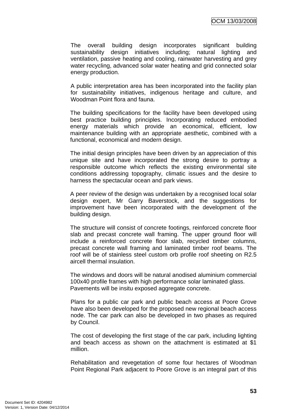The overall building design incorporates significant building sustainability design initiatives including; natural lighting and ventilation, passive heating and cooling, rainwater harvesting and grey water recycling, advanced solar water heating and grid connected solar energy production.

A public interpretation area has been incorporated into the facility plan for sustainability initiatives, indigenous heritage and culture, and Woodman Point flora and fauna.

The building specifications for the facility have been developed using best practice building principles. Incorporating reduced embodied energy materials which provide an economical, efficient, low maintenance building with an appropriate aesthetic, combined with a functional, economical and modern design.

The initial design principles have been driven by an appreciation of this unique site and have incorporated the strong desire to portray a responsible outcome which reflects the existing environmental site conditions addressing topography, climatic issues and the desire to harness the spectacular ocean and park views.

A peer review of the design was undertaken by a recognised local solar design expert, Mr Garry Baverstock, and the suggestions for improvement have been incorporated with the development of the building design.

The structure will consist of concrete footings, reinforced concrete floor slab and precast concrete wall framing. The upper ground floor will include a reinforced concrete floor slab, recycled timber columns, precast concrete wall framing and laminated timber roof beams. The roof will be of stainless steel custom orb profile roof sheeting on R2.5 aircell thermal insulation.

The windows and doors will be natural anodised aluminium commercial 100x40 profile frames with high performance solar laminated glass. Pavements will be insitu exposed aggregate concrete.

Plans for a public car park and public beach access at Poore Grove have also been developed for the proposed new regional beach access node. The car park can also be developed in two phases as required by Council.

The cost of developing the first stage of the car park, including lighting and beach access as shown on the attachment is estimated at \$1 million.

Rehabilitation and revegetation of some four hectares of Woodman Point Regional Park adjacent to Poore Grove is an integral part of this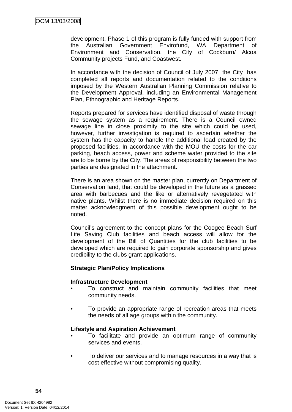development. Phase 1 of this program is fully funded with support from the Australian Government Envirofund, WA Department of Environment and Conservation, the City of Cockburn/ Alcoa Community projects Fund, and Coastwest.

In accordance with the decision of Council of July 2007 the City has completed all reports and documentation related to the conditions imposed by the Western Australian Planning Commission relative to the Development Approval, including an Environmental Management Plan, Ethnographic and Heritage Reports.

Reports prepared for services have identified disposal of waste through the sewage system as a requirement. There is a Council owned sewage line in close proximity to the site which could be used, however, further investigation is required to ascertain whether the system has the capacity to handle the additional load created by the proposed facilities. In accordance with the MOU the costs for the car parking, beach access, power and scheme water provided to the site are to be borne by the City. The areas of responsibility between the two parties are designated in the attachment.

There is an area shown on the master plan, currently on Department of Conservation land, that could be developed in the future as a grassed area with barbecues and the like or alternatively revegetated with native plants. Whilst there is no immediate decision required on this matter acknowledgment of this possible development ought to be noted.

Council's agreement to the concept plans for the Coogee Beach Surf Life Saving Club facilities and beach access will allow for the development of the Bill of Quantities for the club facilities to be developed which are required to gain corporate sponsorship and gives credibility to the clubs grant applications.

# **Strategic Plan/Policy Implications**

# **Infrastructure Development**

- To construct and maintain community facilities that meet community needs.
- To provide an appropriate range of recreation areas that meets the needs of all age groups within the community.

#### **Lifestyle and Aspiration Achievement**

- To facilitate and provide an optimum range of community services and events.
- To deliver our services and to manage resources in a way that is cost effective without compromising quality.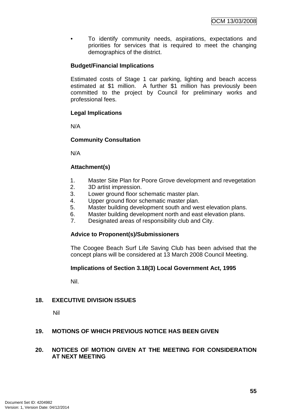<span id="page-58-0"></span>• To identify community needs, aspirations, expectations and priorities for services that is required to meet the changing demographics of the district.

# **Budget/Financial Implications**

Estimated costs of Stage 1 car parking, lighting and beach access estimated at \$1 million. A further \$1 million has previously been committed to the project by Council for preliminary works and professional fees.

# **Legal Implications**

N/A

# **Community Consultation**

N/A

# **Attachment(s)**

- 1. Master Site Plan for Poore Grove development and revegetation
- 2. 3D artist impression.
- 3. Lower ground floor schematic master plan.
- 4. Upper ground floor schematic master plan.
- 5. Master building development south and west elevation plans.
- 6. Master building development north and east elevation plans.
- 7. Designated areas of responsibility club and City.

# **Advice to Proponent(s)/Submissioners**

The Coogee Beach Surf Life Saving Club has been advised that the concept plans will be considered at 13 March 2008 Council Meeting.

# **Implications of Section 3.18(3) Local Government Act, 1995**

Nil.

# **18. EXECUTIVE DIVISION ISSUES**

Nil

# **19. MOTIONS OF WHICH PREVIOUS NOTICE HAS BEEN GIVEN**

# **20. NOTICES OF MOTION GIVEN AT THE MEETING FOR CONSIDERATION AT NEXT MEETING**